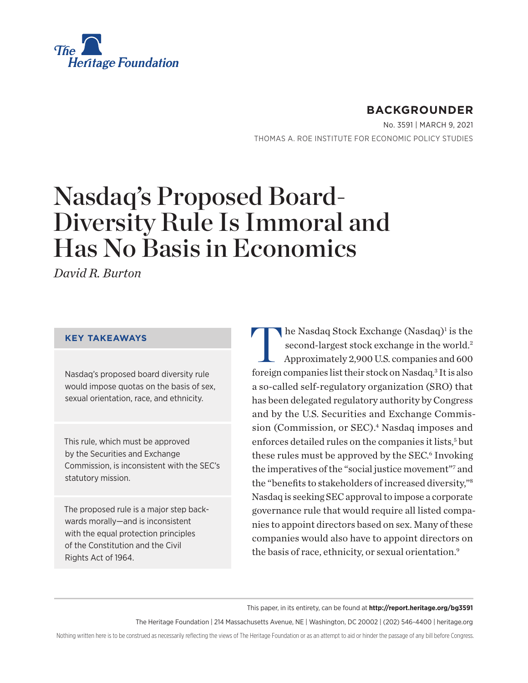

## **BACKGROUNDER**

No. 3591 | March 9, 2021 THOMAS A. ROE INSTITUTE FOR ECONOMIC POLICY STUDIES

# Nasdaq's Proposed Board-Diversity Rule Is Immoral and Has No Basis in Economics

*David R. Burton*

#### **KEY TAKEAWAYS**

Nasdaq's proposed board diversity rule would impose quotas on the basis of sex, sexual orientation, race, and ethnicity.

This rule, which must be approved by the Securities and Exchange Commission, is inconsistent with the SEC's statutory mission.

The proposed rule is a major step backwards morally—and is inconsistent with the equal protection principles of the Constitution and the Civil Rights Act of 1964.

The Nasdaq Stock Exchange (Nasdaq)<sup>1</sup><br>second-largest stock exchange in the v<br>Approximately 2,900 U.S. companies are  $\blacksquare$ he Nasdaq Stock Exchange (Nasdaq)<sup>1</sup> is the second-largest stock exchange in the world.<sup>2</sup> Approximately 2,900 U.S. companies and 600 foreign companies list their stock on Nasdaq.3 It is also a so-called self-regulatory organization (SRO) that has been delegated regulatory authority by Congress and by the U.S. Securities and Exchange Commission (Commission, or SEC).<sup>4</sup> Nasdaq imposes and enforces detailed rules on the companies it lists,<sup>5</sup> but these rules must be approved by the SEC.<sup>6</sup> Invoking the imperatives of the "social justice movement"7 and the "benefits to stakeholders of increased diversity,"8 Nasdaq is seeking SEC approval to impose a corporate governance rule that would require all listed companies to appoint directors based on sex. Many of these companies would also have to appoint directors on the basis of race, ethnicity, or sexual orientation.9

This paper, in its entirety, can be found at **http://report.heritage.org/bg3591**

The Heritage Foundation | 214 Massachusetts Avenue, NE | Washington, DC 20002 | (202) 546-4400 | heritage.org

Nothing written here is to be construed as necessarily reflecting the views of The Heritage Foundation or as an attempt to aid or hinder the passage of any bill before Congress.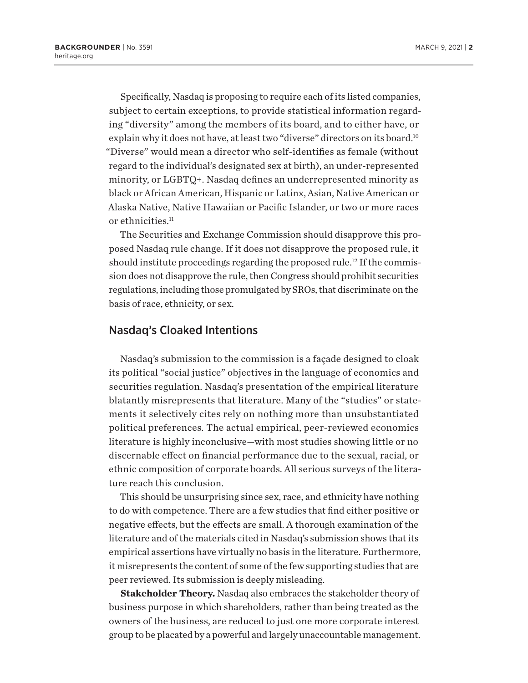Specifically, Nasdaq is proposing to require each of its listed companies, subject to certain exceptions, to provide statistical information regarding "diversity" among the members of its board, and to either have, or explain why it does not have, at least two "diverse" directors on its board.<sup>10</sup> "Diverse" would mean a director who self-identifies as female (without regard to the individual's designated sex at birth), an under-represented minority, or LGBTQ+. Nasdaq defines an underrepresented minority as black or African American, Hispanic or Latinx, Asian, Native American or Alaska Native, Native Hawaiian or Pacific Islander, or two or more races or ethnicities.<sup>11</sup>

The Securities and Exchange Commission should disapprove this proposed Nasdaq rule change. If it does not disapprove the proposed rule, it should institute proceedings regarding the proposed rule.<sup>12</sup> If the commission does not disapprove the rule, then Congress should prohibit securities regulations, including those promulgated by SROs, that discriminate on the basis of race, ethnicity, or sex.

## Nasdaq's Cloaked Intentions

Nasdaq's submission to the commission is a façade designed to cloak its political "social justice" objectives in the language of economics and securities regulation. Nasdaq's presentation of the empirical literature blatantly misrepresents that literature. Many of the "studies" or statements it selectively cites rely on nothing more than unsubstantiated political preferences. The actual empirical, peer-reviewed economics literature is highly inconclusive—with most studies showing little or no discernable effect on financial performance due to the sexual, racial, or ethnic composition of corporate boards. All serious surveys of the literature reach this conclusion.

This should be unsurprising since sex, race, and ethnicity have nothing to do with competence. There are a few studies that find either positive or negative effects, but the effects are small. A thorough examination of the literature and of the materials cited in Nasdaq's submission shows that its empirical assertions have virtually no basis in the literature. Furthermore, it misrepresents the content of some of the few supporting studies that are peer reviewed. Its submission is deeply misleading.

**Stakeholder Theory.** Nasdaq also embraces the stakeholder theory of business purpose in which shareholders, rather than being treated as the owners of the business, are reduced to just one more corporate interest group to be placated by a powerful and largely unaccountable management.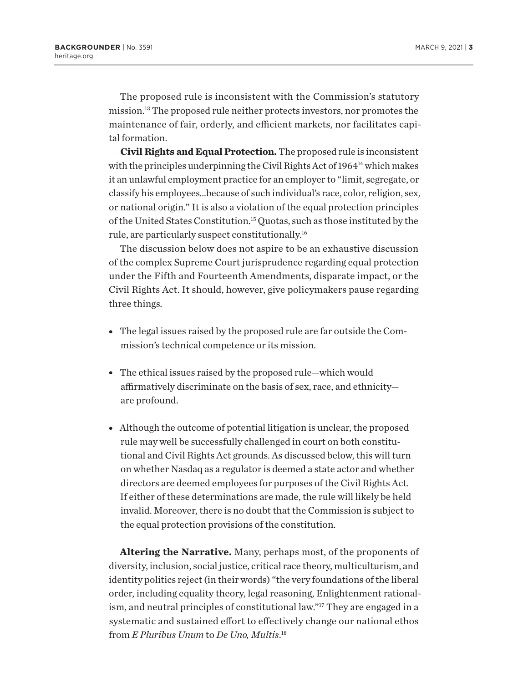The proposed rule is inconsistent with the Commission's statutory mission.13 The proposed rule neither protects investors, nor promotes the maintenance of fair, orderly, and efficient markets, nor facilitates capital formation.

**Civil Rights and Equal Protection.** The proposed rule is inconsistent with the principles underpinning the Civil Rights Act of 1964<sup>14</sup> which makes it an unlawful employment practice for an employer to "limit, segregate, or classify his employees…because of such individual's race, color, religion, sex, or national origin." It is also a violation of the equal protection principles of the United States Constitution.15 Quotas, such as those instituted by the rule, are particularly suspect constitutionally.16

The discussion below does not aspire to be an exhaustive discussion of the complex Supreme Court jurisprudence regarding equal protection under the Fifth and Fourteenth Amendments, disparate impact, or the Civil Rights Act. It should, however, give policymakers pause regarding three things.

- The legal issues raised by the proposed rule are far outside the Commission's technical competence or its mission.
- The ethical issues raised by the proposed rule—which would affirmatively discriminate on the basis of sex, race, and ethnicity are profound.
- Although the outcome of potential litigation is unclear, the proposed rule may well be successfully challenged in court on both constitutional and Civil Rights Act grounds. As discussed below, this will turn on whether Nasdaq as a regulator is deemed a state actor and whether directors are deemed employees for purposes of the Civil Rights Act. If either of these determinations are made, the rule will likely be held invalid. Moreover, there is no doubt that the Commission is subject to the equal protection provisions of the constitution.

**Altering the Narrative.** Many, perhaps most, of the proponents of diversity, inclusion, social justice, critical race theory, multiculturism, and identity politics reject (in their words) "the very foundations of the liberal order, including equality theory, legal reasoning, Enlightenment rationalism, and neutral principles of constitutional law."17 They are engaged in a systematic and sustained effort to effectively change our national ethos from *E Pluribus Unum* to *De Uno, Multis*. 18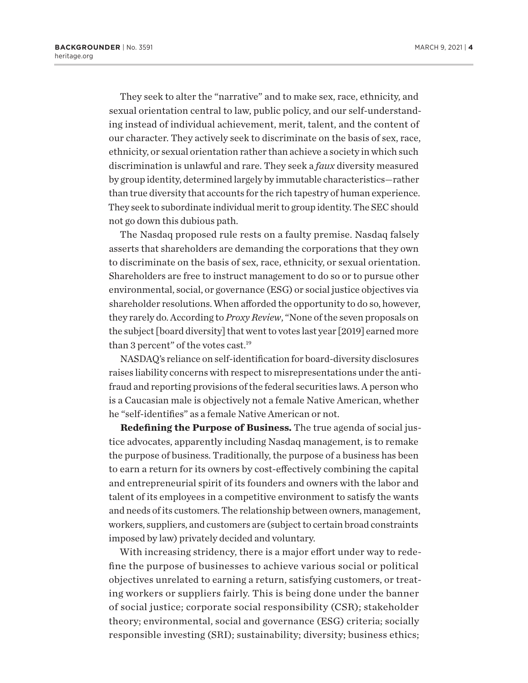They seek to alter the "narrative" and to make sex, race, ethnicity, and sexual orientation central to law, public policy, and our self-understanding instead of individual achievement, merit, talent, and the content of our character. They actively seek to discriminate on the basis of sex, race, ethnicity, or sexual orientation rather than achieve a society in which such discrimination is unlawful and rare. They seek a *faux* diversity measured by group identity, determined largely by immutable characteristics—rather than true diversity that accounts for the rich tapestry of human experience. They seek to subordinate individual merit to group identity. The SEC should not go down this dubious path.

The Nasdaq proposed rule rests on a faulty premise. Nasdaq falsely asserts that shareholders are demanding the corporations that they own to discriminate on the basis of sex, race, ethnicity, or sexual orientation. Shareholders are free to instruct management to do so or to pursue other environmental, social, or governance (ESG) or social justice objectives via shareholder resolutions. When afforded the opportunity to do so, however, they rarely do. According to *Proxy Review*, "None of the seven proposals on the subject [board diversity] that went to votes last year [2019] earned more than 3 percent" of the votes cast.<sup>19</sup>

NASDAQ's reliance on self-identification for board-diversity disclosures raises liability concerns with respect to misrepresentations under the antifraud and reporting provisions of the federal securities laws. A person who is a Caucasian male is objectively not a female Native American, whether he "self-identifies" as a female Native American or not.

**Redefining the Purpose of Business.** The true agenda of social justice advocates, apparently including Nasdaq management, is to remake the purpose of business. Traditionally, the purpose of a business has been to earn a return for its owners by cost-effectively combining the capital and entrepreneurial spirit of its founders and owners with the labor and talent of its employees in a competitive environment to satisfy the wants and needs of its customers. The relationship between owners, management, workers, suppliers, and customers are (subject to certain broad constraints imposed by law) privately decided and voluntary.

With increasing stridency, there is a major effort under way to redefine the purpose of businesses to achieve various social or political objectives unrelated to earning a return, satisfying customers, or treating workers or suppliers fairly. This is being done under the banner of social justice; corporate social responsibility (CSR); stakeholder theory; environmental, social and governance (ESG) criteria; socially responsible investing (SRI); sustainability; diversity; business ethics;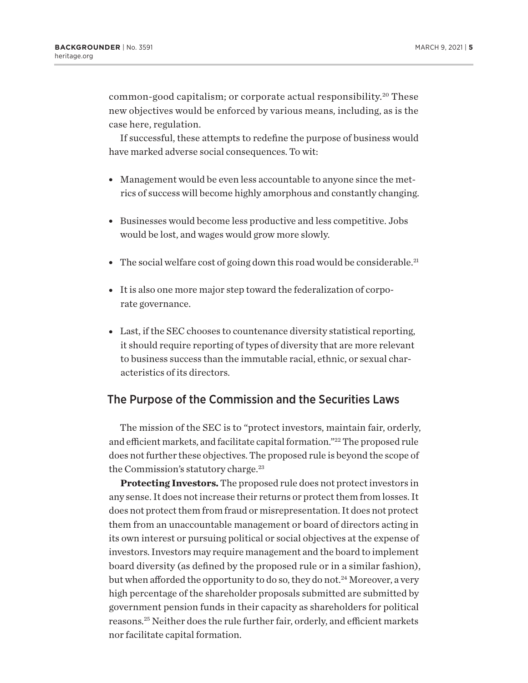common-good capitalism; or corporate actual responsibility.<sup>20</sup> These new objectives would be enforced by various means, including, as is the case here, regulation.

If successful, these attempts to redefine the purpose of business would have marked adverse social consequences. To wit:

- Management would be even less accountable to anyone since the metrics of success will become highly amorphous and constantly changing.
- Businesses would become less productive and less competitive. Jobs would be lost, and wages would grow more slowly.
- The social welfare cost of going down this road would be considerable.<sup>21</sup>
- It is also one more major step toward the federalization of corporate governance.
- Last, if the SEC chooses to countenance diversity statistical reporting, it should require reporting of types of diversity that are more relevant to business success than the immutable racial, ethnic, or sexual characteristics of its directors.

## The Purpose of the Commission and the Securities Laws

The mission of the SEC is to "protect investors, maintain fair, orderly, and efficient markets, and facilitate capital formation."22 The proposed rule does not further these objectives. The proposed rule is beyond the scope of the Commission's statutory charge.<sup>23</sup>

**Protecting Investors.** The proposed rule does not protect investors in any sense. It does not increase their returns or protect them from losses. It does not protect them from fraud or misrepresentation. It does not protect them from an unaccountable management or board of directors acting in its own interest or pursuing political or social objectives at the expense of investors. Investors may require management and the board to implement board diversity (as defined by the proposed rule or in a similar fashion), but when afforded the opportunity to do so, they do not.<sup>24</sup> Moreover, a very high percentage of the shareholder proposals submitted are submitted by government pension funds in their capacity as shareholders for political reasons.25 Neither does the rule further fair, orderly, and efficient markets nor facilitate capital formation.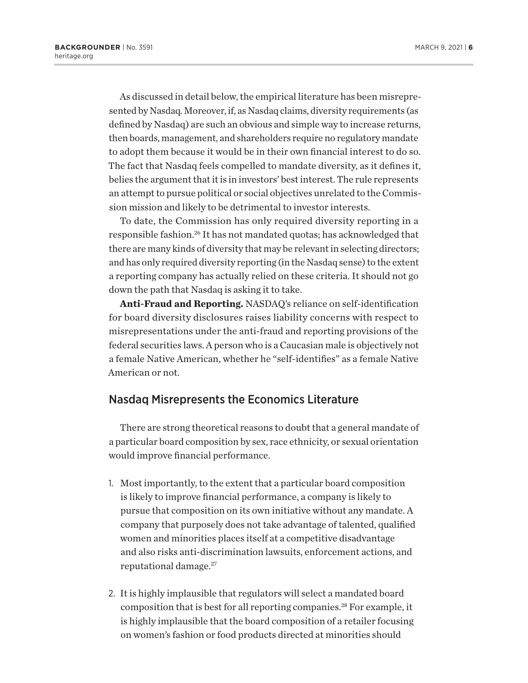As discussed in detail below, the empirical literature has been misrepresented by Nasdaq. Moreover, if, as Nasdaq claims, diversity requirements (as defined by Nasdaq) are such an obvious and simple way to increase returns, then boards, management, and shareholders require no regulatory mandate to adopt them because it would be in their own financial interest to do so. The fact that Nasdaq feels compelled to mandate diversity, as it defines it, belies the argument that it is in investors' best interest. The rule represents an attempt to pursue political or social objectives unrelated to the Commission mission and likely to be detrimental to investor interests.

To date, the Commission has only required diversity reporting in a responsible fashion.<sup>26</sup> It has not mandated quotas; has acknowledged that there are many kinds of diversity that may be relevant in selecting directors; and has only required diversity reporting (in the Nasdaq sense) to the extent a reporting company has actually relied on these criteria. It should not go down the path that Nasdaq is asking it to take.

**Anti-Fraud and Reporting.** NASDAQ's reliance on self-identification for board diversity disclosures raises liability concerns with respect to misrepresentations under the anti-fraud and reporting provisions of the federal securities laws. A person who is a Caucasian male is objectively not a female Native American, whether he "self-identifies" as a female Native American or not.

## Nasdaq Misrepresents the Economics Literature

There are strong theoretical reasons to doubt that a general mandate of a particular board composition by sex, race ethnicity, or sexual orientation would improve financial performance.

- 1. Most importantly, to the extent that a particular board composition is likely to improve financial performance, a company is likely to pursue that composition on its own initiative without any mandate. A company that purposely does not take advantage of talented, qualified women and minorities places itself at a competitive disadvantage and also risks anti-discrimination lawsuits, enforcement actions, and reputational damage.27
- 2. It is highly implausible that regulators will select a mandated board composition that is best for all reporting companies.28 For example, it is highly implausible that the board composition of a retailer focusing on women's fashion or food products directed at minorities should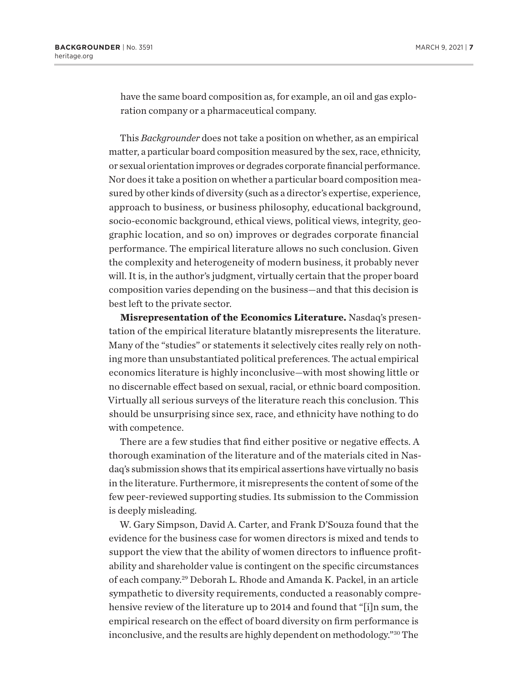have the same board composition as, for example, an oil and gas exploration company or a pharmaceutical company.

This *Backgrounder* does not take a position on whether, as an empirical matter, a particular board composition measured by the sex, race, ethnicity, or sexual orientation improves or degrades corporate financial performance. Nor does it take a position on whether a particular board composition measured by other kinds of diversity (such as a director's expertise, experience, approach to business, or business philosophy, educational background, socio-economic background, ethical views, political views, integrity, geographic location, and so on) improves or degrades corporate financial performance. The empirical literature allows no such conclusion. Given the complexity and heterogeneity of modern business, it probably never will. It is, in the author's judgment, virtually certain that the proper board composition varies depending on the business—and that this decision is best left to the private sector.

**Misrepresentation of the Economics Literature.** Nasdaq's presentation of the empirical literature blatantly misrepresents the literature. Many of the "studies" or statements it selectively cites really rely on nothing more than unsubstantiated political preferences. The actual empirical economics literature is highly inconclusive—with most showing little or no discernable effect based on sexual, racial, or ethnic board composition. Virtually all serious surveys of the literature reach this conclusion. This should be unsurprising since sex, race, and ethnicity have nothing to do with competence.

There are a few studies that find either positive or negative effects. A thorough examination of the literature and of the materials cited in Nasdaq's submission shows that its empirical assertions have virtually no basis in the literature. Furthermore, it misrepresents the content of some of the few peer-reviewed supporting studies. Its submission to the Commission is deeply misleading.

W. Gary Simpson, David A. Carter, and Frank D'Souza found that the evidence for the business case for women directors is mixed and tends to support the view that the ability of women directors to influence profitability and shareholder value is contingent on the specific circumstances of each company.29 Deborah L. Rhode and Amanda K. Packel, in an article sympathetic to diversity requirements, conducted a reasonably comprehensive review of the literature up to 2014 and found that "[i]n sum, the empirical research on the effect of board diversity on firm performance is inconclusive, and the results are highly dependent on methodology."30 The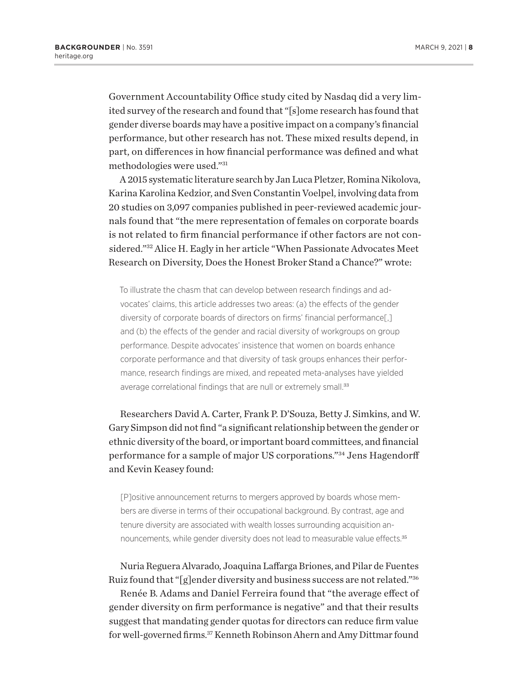Government Accountability Office study cited by Nasdaq did a very limited survey of the research and found that "[s]ome research has found that gender diverse boards may have a positive impact on a company's financial performance, but other research has not. These mixed results depend, in part, on differences in how financial performance was defined and what methodologies were used."31

A 2015 systematic literature search by Jan Luca Pletzer, Romina Nikolova, Karina Karolina Kedzior, and Sven Constantin Voelpel, involving data from 20 studies on 3,097 companies published in peer-reviewed academic journals found that "the mere representation of females on corporate boards is not related to firm financial performance if other factors are not considered."32 Alice H. Eagly in her article "When Passionate Advocates Meet Research on Diversity, Does the Honest Broker Stand a Chance?" wrote:

To illustrate the chasm that can develop between research findings and advocates' claims, this article addresses two areas: (a) the effects of the gender diversity of corporate boards of directors on firms' financial performance[,] and (b) the effects of the gender and racial diversity of workgroups on group performance. Despite advocates' insistence that women on boards enhance corporate performance and that diversity of task groups enhances their performance, research findings are mixed, and repeated meta-analyses have yielded average correlational findings that are null or extremely small.<sup>33</sup>

Researchers David A. Carter, Frank P. D'Souza, Betty J. Simkins, and W. Gary Simpson did not find "a significant relationship between the gender or ethnic diversity of the board, or important board committees, and financial performance for a sample of major US corporations."34 Jens Hagendorff and Kevin Keasey found:

[P]ositive announcement returns to mergers approved by boards whose members are diverse in terms of their occupational background. By contrast, age and tenure diversity are associated with wealth losses surrounding acquisition announcements, while gender diversity does not lead to measurable value effects.<sup>35</sup>

Nuria Reguera Alvarado, Joaquina Laffarga Briones, and Pilar de Fuentes Ruiz found that "[g]ender diversity and business success are not related."36

Renée B. Adams and Daniel Ferreira found that "the average effect of gender diversity on firm performance is negative" and that their results suggest that mandating gender quotas for directors can reduce firm value for well-governed firms.37 Kenneth Robinson Ahern and Amy Dittmar found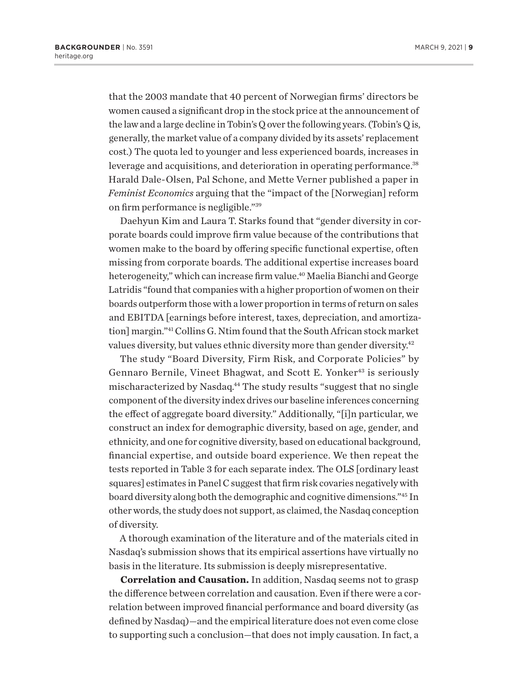that the 2003 mandate that 40 percent of Norwegian firms' directors be women caused a significant drop in the stock price at the announcement of the law and a large decline in Tobin's Q over the following years. (Tobin's Q is, generally, the market value of a company divided by its assets' replacement cost.) The quota led to younger and less experienced boards, increases in leverage and acquisitions, and deterioration in operating performance.<sup>38</sup> Harald Dale-Olsen, Pal Schone, and Mette Verner published a paper in *Feminist Economics* arguing that the "impact of the [Norwegian] reform on firm performance is negligible."39

Daehyun Kim and Laura T. Starks found that "gender diversity in corporate boards could improve firm value because of the contributions that women make to the board by offering specific functional expertise, often missing from corporate boards. The additional expertise increases board heterogeneity," which can increase firm value.<sup>40</sup> Maelia Bianchi and George Latridis "found that companies with a higher proportion of women on their boards outperform those with a lower proportion in terms of return on sales and EBITDA [earnings before interest, taxes, depreciation, and amortization] margin."41 Collins G. Ntim found that the South African stock market values diversity, but values ethnic diversity more than gender diversity.42

The study "Board Diversity, Firm Risk, and Corporate Policies" by Gennaro Bernile, Vineet Bhagwat, and Scott E. Yonker<sup>43</sup> is seriously mischaracterized by Nasdaq.44 The study results "suggest that no single component of the diversity index drives our baseline inferences concerning the effect of aggregate board diversity." Additionally, "[i]n particular, we construct an index for demographic diversity, based on age, gender, and ethnicity, and one for cognitive diversity, based on educational background, financial expertise, and outside board experience. We then repeat the tests reported in Table 3 for each separate index. The OLS [ordinary least squares] estimates in Panel C suggest that firm risk covaries negatively with board diversity along both the demographic and cognitive dimensions."45 In other words, the study does not support, as claimed, the Nasdaq conception of diversity.

A thorough examination of the literature and of the materials cited in Nasdaq's submission shows that its empirical assertions have virtually no basis in the literature. Its submission is deeply misrepresentative.

**Correlation and Causation.** In addition, Nasdaq seems not to grasp the difference between correlation and causation. Even if there were a correlation between improved financial performance and board diversity (as defined by Nasdaq)—and the empirical literature does not even come close to supporting such a conclusion—that does not imply causation. In fact, a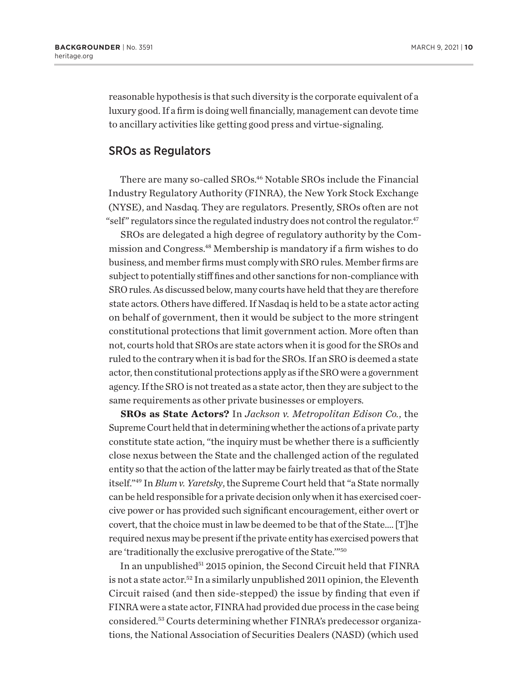reasonable hypothesis is that such diversity is the corporate equivalent of a luxury good. If a firm is doing well financially, management can devote time to ancillary activities like getting good press and virtue-signaling.

### SROs as Regulators

There are many so-called SROs.46 Notable SROs include the Financial Industry Regulatory Authority (FINRA), the New York Stock Exchange (NYSE), and Nasdaq. They are regulators. Presently, SROs often are not "self" regulators since the regulated industry does not control the regulator.<sup>47</sup>

SROs are delegated a high degree of regulatory authority by the Commission and Congress.48 Membership is mandatory if a firm wishes to do business, and member firms must comply with SRO rules. Member firms are subject to potentially stiff fines and other sanctions for non-compliance with SRO rules. As discussed below, many courts have held that they are therefore state actors. Others have differed. If Nasdaq is held to be a state actor acting on behalf of government, then it would be subject to the more stringent constitutional protections that limit government action. More often than not, courts hold that SROs are state actors when it is good for the SROs and ruled to the contrary when it is bad for the SROs. If an SRO is deemed a state actor, then constitutional protections apply as if the SRO were a government agency. If the SRO is not treated as a state actor, then they are subject to the same requirements as other private businesses or employers.

**SROs as State Actors?** In *Jackson v. Metropolitan Edison Co.*, the Supreme Court held that in determining whether the actions of a private party constitute state action, "the inquiry must be whether there is a sufficiently close nexus between the State and the challenged action of the regulated entity so that the action of the latter may be fairly treated as that of the State itself."49 In *Blum v. Yaretsky*, the Supreme Court held that "a State normally can be held responsible for a private decision only when it has exercised coercive power or has provided such significant encouragement, either overt or covert, that the choice must in law be deemed to be that of the State…. [T]he required nexus may be present if the private entity has exercised powers that are 'traditionally the exclusive prerogative of the State.'"50

In an unpublished<sup>51</sup> 2015 opinion, the Second Circuit held that FINRA is not a state actor.<sup>52</sup> In a similarly unpublished 2011 opinion, the Eleventh Circuit raised (and then side-stepped) the issue by finding that even if FINRA were a state actor, FINRA had provided due process in the case being considered.53 Courts determining whether FINRA's predecessor organizations, the National Association of Securities Dealers (NASD) (which used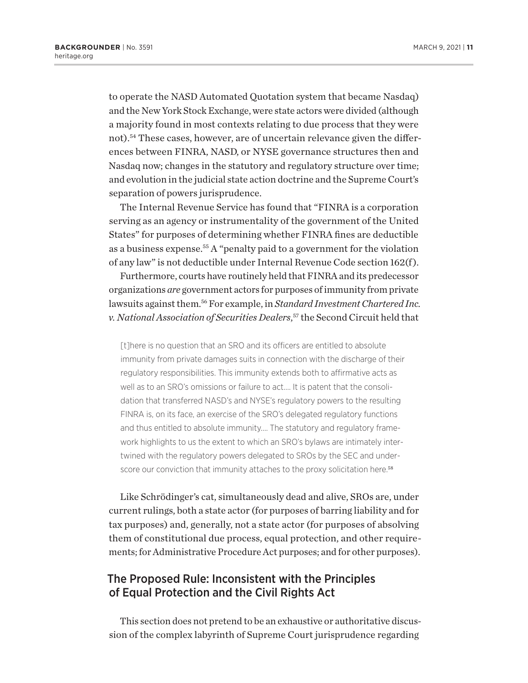to operate the NASD Automated Quotation system that became Nasdaq) and the New York Stock Exchange, were state actors were divided (although a majority found in most contexts relating to due process that they were not).54 These cases, however, are of uncertain relevance given the differences between FINRA, NASD, or NYSE governance structures then and Nasdaq now; changes in the statutory and regulatory structure over time; and evolution in the judicial state action doctrine and the Supreme Court's separation of powers jurisprudence.

The Internal Revenue Service has found that "FINRA is a corporation serving as an agency or instrumentality of the government of the United States" for purposes of determining whether FINRA fines are deductible as a business expense.55 A "penalty paid to a government for the violation of any law" is not deductible under Internal Revenue Code section 162(f ).

Furthermore, courts have routinely held that FINRA and its predecessor organizations *are* government actors for purposes of immunity from private lawsuits against them.56 For example, in *Standard Investment Chartered Inc. v. National Association of Securities Dealers*, 57 the Second Circuit held that

[t]here is no question that an SRO and its officers are entitled to absolute immunity from private damages suits in connection with the discharge of their regulatory responsibilities. This immunity extends both to affirmative acts as well as to an SRO's omissions or failure to act.… It is patent that the consolidation that transferred NASD's and NYSE's regulatory powers to the resulting FINRA is, on its face, an exercise of the SRO's delegated regulatory functions and thus entitled to absolute immunity.… The statutory and regulatory framework highlights to us the extent to which an SRO's bylaws are intimately intertwined with the regulatory powers delegated to SROs by the SEC and underscore our conviction that immunity attaches to the proxy solicitation here.<sup>58</sup>

Like Schrödinger's cat, simultaneously dead and alive, SROs are, under current rulings, both a state actor (for purposes of barring liability and for tax purposes) and, generally, not a state actor (for purposes of absolving them of constitutional due process, equal protection, and other requirements; for Administrative Procedure Act purposes; and for other purposes).

## The Proposed Rule: Inconsistent with the Principles of Equal Protection and the Civil Rights Act

This section does not pretend to be an exhaustive or authoritative discussion of the complex labyrinth of Supreme Court jurisprudence regarding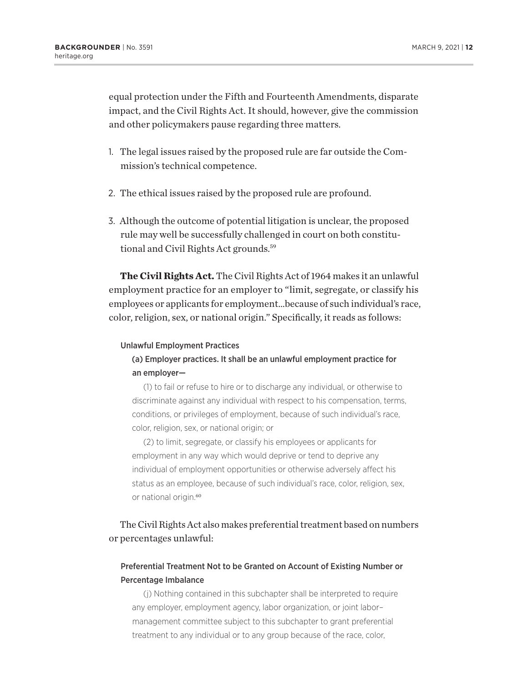equal protection under the Fifth and Fourteenth Amendments, disparate impact, and the Civil Rights Act. It should, however, give the commission and other policymakers pause regarding three matters.

- 1. The legal issues raised by the proposed rule are far outside the Commission's technical competence.
- 2. The ethical issues raised by the proposed rule are profound.
- 3. Although the outcome of potential litigation is unclear, the proposed rule may well be successfully challenged in court on both constitutional and Civil Rights Act grounds.<sup>59</sup>

**The Civil Rights Act.** The Civil Rights Act of 1964 makes it an unlawful employment practice for an employer to "limit, segregate, or classify his employees or applicants for employment…because of such individual's race, color, religion, sex, or national origin." Specifically, it reads as follows:

#### Unlawful Employment Practices

## (a) Employer practices. It shall be an unlawful employment practice for an employer—

(1) to fail or refuse to hire or to discharge any individual, or otherwise to discriminate against any individual with respect to his compensation, terms, conditions, or privileges of employment, because of such individual's race, color, religion, sex, or national origin; or

(2) to limit, segregate, or classify his employees or applicants for employment in any way which would deprive or tend to deprive any individual of employment opportunities or otherwise adversely affect his status as an employee, because of such individual's race, color, religion, sex, or national origin.<sup>60</sup>

## The Civil Rights Act also makes preferential treatment based on numbers or percentages unlawful:

## Preferential Treatment Not to be Granted on Account of Existing Number or Percentage Imbalance

(j) Nothing contained in this subchapter shall be interpreted to require any employer, employment agency, labor organization, or joint labor– management committee subject to this subchapter to grant preferential treatment to any individual or to any group because of the race, color,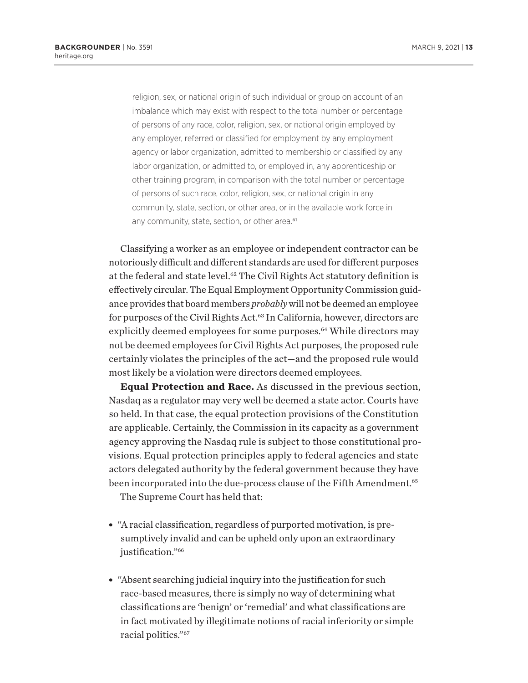religion, sex, or national origin of such individual or group on account of an imbalance which may exist with respect to the total number or percentage of persons of any race, color, religion, sex, or national origin employed by any employer, referred or classified for employment by any employment agency or labor organization, admitted to membership or classified by any labor organization, or admitted to, or employed in, any apprenticeship or other training program, in comparison with the total number or percentage of persons of such race, color, religion, sex, or national origin in any community, state, section, or other area, or in the available work force in any community, state, section, or other area.<sup>61</sup>

Classifying a worker as an employee or independent contractor can be notoriously difficult and different standards are used for different purposes at the federal and state level.62 The Civil Rights Act statutory definition is effectively circular. The Equal Employment Opportunity Commission guidance provides that board members *probably* will not be deemed an employee for purposes of the Civil Rights Act.<sup>63</sup> In California, however, directors are explicitly deemed employees for some purposes.<sup>64</sup> While directors may not be deemed employees for Civil Rights Act purposes, the proposed rule certainly violates the principles of the act—and the proposed rule would most likely be a violation were directors deemed employees.

**Equal Protection and Race.** As discussed in the previous section, Nasdaq as a regulator may very well be deemed a state actor. Courts have so held. In that case, the equal protection provisions of the Constitution are applicable. Certainly, the Commission in its capacity as a government agency approving the Nasdaq rule is subject to those constitutional provisions. Equal protection principles apply to federal agencies and state actors delegated authority by the federal government because they have been incorporated into the due-process clause of the Fifth Amendment.<sup>65</sup>

The Supreme Court has held that:

- <sup>l</sup> "A racial classification, regardless of purported motivation, is presumptively invalid and can be upheld only upon an extraordinary justification."<sup>66</sup>
- "Absent searching judicial inquiry into the justification for such race-based measures, there is simply no way of determining what classifications are 'benign' or 'remedial' and what classifications are in fact motivated by illegitimate notions of racial inferiority or simple racial politics."67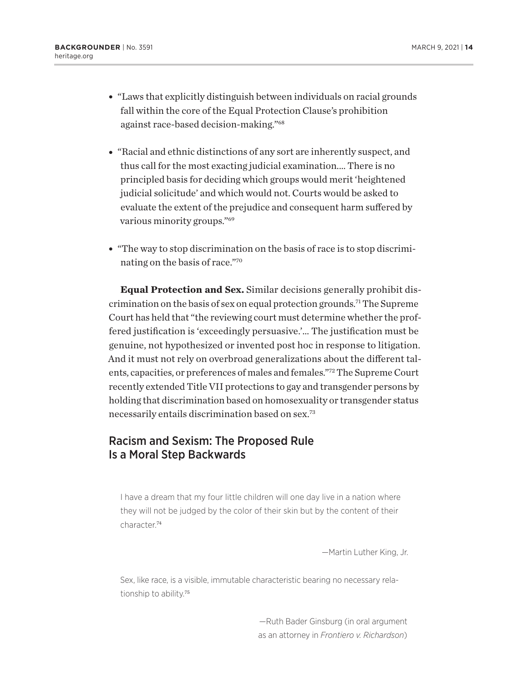- "Laws that explicitly distinguish between individuals on racial grounds fall within the core of the Equal Protection Clause's prohibition against race-based decision-making."68
- "Racial and ethnic distinctions of any sort are inherently suspect, and thus call for the most exacting judicial examination.… There is no principled basis for deciding which groups would merit 'heightened judicial solicitude' and which would not. Courts would be asked to evaluate the extent of the prejudice and consequent harm suffered by various minority groups."69
- "The way to stop discrimination on the basis of race is to stop discriminating on the basis of race."70

**Equal Protection and Sex.** Similar decisions generally prohibit discrimination on the basis of sex on equal protection grounds.71 The Supreme Court has held that "the reviewing court must determine whether the proffered justification is 'exceedingly persuasive.'… The justification must be genuine, not hypothesized or invented post hoc in response to litigation. And it must not rely on overbroad generalizations about the different talents, capacities, or preferences of males and females."72 The Supreme Court recently extended Title VII protections to gay and transgender persons by holding that discrimination based on homosexuality or transgender status necessarily entails discrimination based on sex.73

## Racism and Sexism: The Proposed Rule Is a Moral Step Backwards

I have a dream that my four little children will one day live in a nation where they will not be judged by the color of their skin but by the content of their character.<sup>74</sup>

—Martin Luther King, Jr.

Sex, like race, is a visible, immutable characteristic bearing no necessary relationship to ability.<sup>75</sup>

> —Ruth Bader Ginsburg (in oral argument as an attorney in *Frontiero v. Richardson*)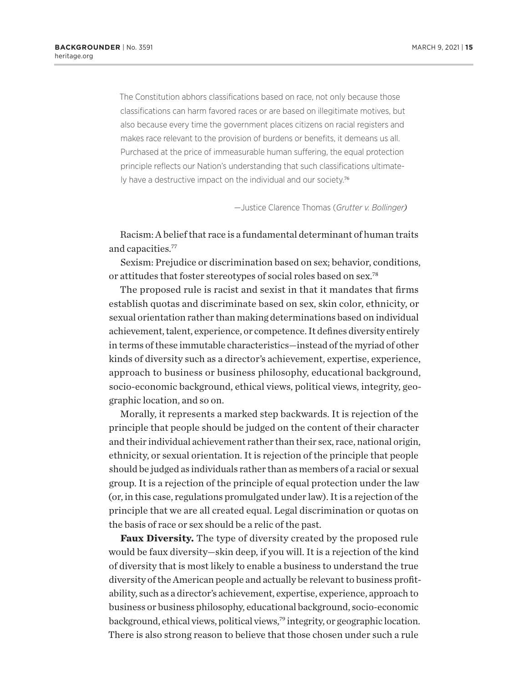The Constitution abhors classifications based on race, not only because those classifications can harm favored races or are based on illegitimate motives, but also because every time the government places citizens on racial registers and makes race relevant to the provision of burdens or benefits, it demeans us all. Purchased at the price of immeasurable human suffering, the equal protection principle reflects our Nation's understanding that such classifications ultimately have a destructive impact on the individual and our society.<sup>76</sup>

—Justice Clarence Thomas (*Grutter v. Bollinger)*

Racism: A belief that race is a fundamental determinant of human traits and capacities.77

Sexism: Prejudice or discrimination based on sex; behavior, conditions, or attitudes that foster stereotypes of social roles based on sex.78

The proposed rule is racist and sexist in that it mandates that firms establish quotas and discriminate based on sex, skin color, ethnicity, or sexual orientation rather than making determinations based on individual achievement, talent, experience, or competence. It defines diversity entirely in terms of these immutable characteristics—instead of the myriad of other kinds of diversity such as a director's achievement, expertise, experience, approach to business or business philosophy, educational background, socio-economic background, ethical views, political views, integrity, geographic location, and so on.

Morally, it represents a marked step backwards. It is rejection of the principle that people should be judged on the content of their character and their individual achievement rather than their sex, race, national origin, ethnicity, or sexual orientation. It is rejection of the principle that people should be judged as individuals rather than as members of a racial or sexual group. It is a rejection of the principle of equal protection under the law (or, in this case, regulations promulgated under law). It is a rejection of the principle that we are all created equal. Legal discrimination or quotas on the basis of race or sex should be a relic of the past.

**Faux Diversity.** The type of diversity created by the proposed rule would be faux diversity—skin deep, if you will. It is a rejection of the kind of diversity that is most likely to enable a business to understand the true diversity of the American people and actually be relevant to business profitability, such as a director's achievement, expertise, experience, approach to business or business philosophy, educational background, socio-economic background, ethical views, political views,<sup>79</sup> integrity, or geographic location. There is also strong reason to believe that those chosen under such a rule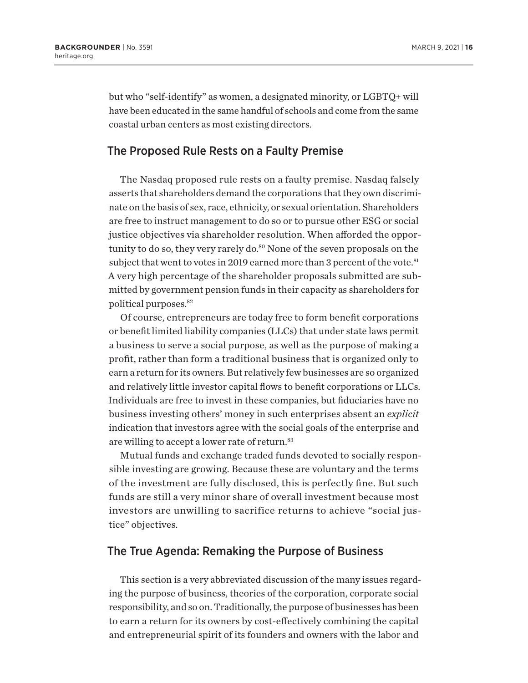but who "self-identify" as women, a designated minority, or LGBTQ+ will have been educated in the same handful of schools and come from the same coastal urban centers as most existing directors.

## The Proposed Rule Rests on a Faulty Premise

The Nasdaq proposed rule rests on a faulty premise. Nasdaq falsely asserts that shareholders demand the corporations that they own discriminate on the basis of sex, race, ethnicity, or sexual orientation. Shareholders are free to instruct management to do so or to pursue other ESG or social justice objectives via shareholder resolution. When afforded the opportunity to do so, they very rarely do.<sup>80</sup> None of the seven proposals on the subject that went to votes in 2019 earned more than 3 percent of the vote.<sup>81</sup> A very high percentage of the shareholder proposals submitted are submitted by government pension funds in their capacity as shareholders for political purposes.82

Of course, entrepreneurs are today free to form benefit corporations or benefit limited liability companies (LLCs) that under state laws permit a business to serve a social purpose, as well as the purpose of making a profit, rather than form a traditional business that is organized only to earn a return for its owners. But relatively few businesses are so organized and relatively little investor capital flows to benefit corporations or LLCs. Individuals are free to invest in these companies, but fiduciaries have no business investing others' money in such enterprises absent an *explicit* indication that investors agree with the social goals of the enterprise and are willing to accept a lower rate of return.<sup>83</sup>

Mutual funds and exchange traded funds devoted to socially responsible investing are growing. Because these are voluntary and the terms of the investment are fully disclosed, this is perfectly fine. But such funds are still a very minor share of overall investment because most investors are unwilling to sacrifice returns to achieve "social justice" objectives.

## The True Agenda: Remaking the Purpose of Business

This section is a very abbreviated discussion of the many issues regarding the purpose of business, theories of the corporation, corporate social responsibility, and so on. Traditionally, the purpose of businesses has been to earn a return for its owners by cost-effectively combining the capital and entrepreneurial spirit of its founders and owners with the labor and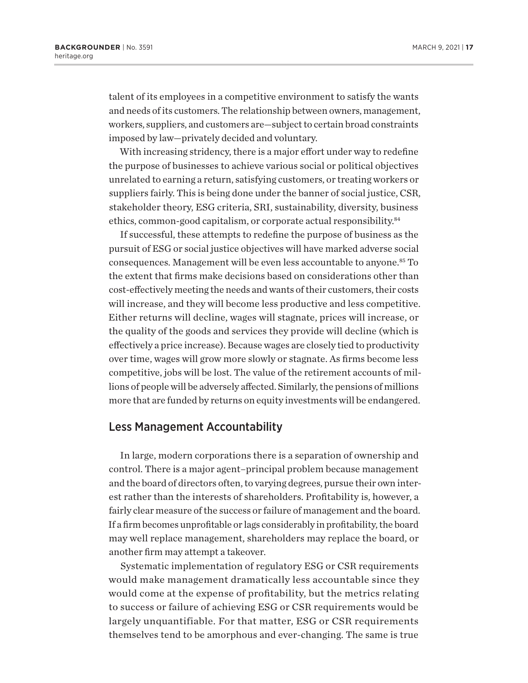talent of its employees in a competitive environment to satisfy the wants and needs of its customers. The relationship between owners, management, workers, suppliers, and customers are—subject to certain broad constraints imposed by law—privately decided and voluntary.

With increasing stridency, there is a major effort under way to redefine the purpose of businesses to achieve various social or political objectives unrelated to earning a return, satisfying customers, or treating workers or suppliers fairly. This is being done under the banner of social justice, CSR, stakeholder theory, ESG criteria, SRI, sustainability, diversity, business ethics, common-good capitalism, or corporate actual responsibility.84

If successful, these attempts to redefine the purpose of business as the pursuit of ESG or social justice objectives will have marked adverse social consequences. Management will be even less accountable to anyone.85 To the extent that firms make decisions based on considerations other than cost-effectively meeting the needs and wants of their customers, their costs will increase, and they will become less productive and less competitive. Either returns will decline, wages will stagnate, prices will increase, or the quality of the goods and services they provide will decline (which is effectively a price increase). Because wages are closely tied to productivity over time, wages will grow more slowly or stagnate. As firms become less competitive, jobs will be lost. The value of the retirement accounts of millions of people will be adversely affected. Similarly, the pensions of millions more that are funded by returns on equity investments will be endangered.

## Less Management Accountability

In large, modern corporations there is a separation of ownership and control. There is a major agent–principal problem because management and the board of directors often, to varying degrees, pursue their own interest rather than the interests of shareholders. Profitability is, however, a fairly clear measure of the success or failure of management and the board. If a firm becomes unprofitable or lags considerably in profitability, the board may well replace management, shareholders may replace the board, or another firm may attempt a takeover.

Systematic implementation of regulatory ESG or CSR requirements would make management dramatically less accountable since they would come at the expense of profitability, but the metrics relating to success or failure of achieving ESG or CSR requirements would be largely unquantifiable. For that matter, ESG or CSR requirements themselves tend to be amorphous and ever-changing. The same is true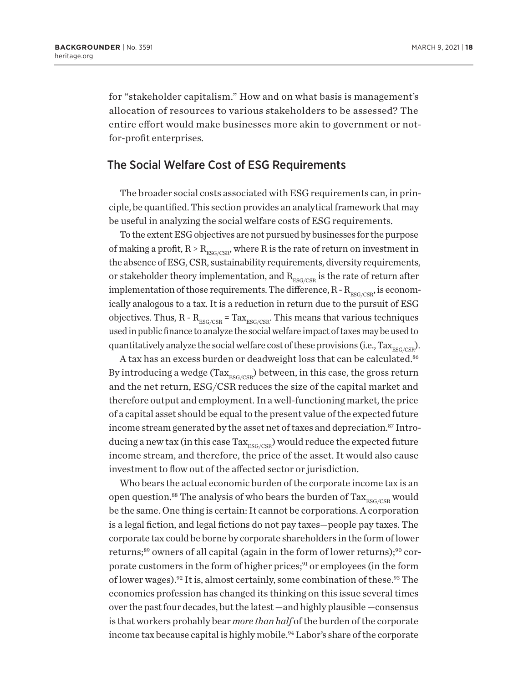for "stakeholder capitalism." How and on what basis is management's allocation of resources to various stakeholders to be assessed? The entire effort would make businesses more akin to government or notfor-profit enterprises.

## The Social Welfare Cost of ESG Requirements

The broader social costs associated with ESG requirements can, in principle, be quantified. This section provides an analytical framework that may be useful in analyzing the social welfare costs of ESG requirements.

To the extent ESG objectives are not pursued by businesses for the purpose of making a profit,  $R > R_{\text{ESG/CSR}}$ , where R is the rate of return on investment in the absence of ESG, CSR, sustainability requirements, diversity requirements, or stakeholder theory implementation, and  $R_{ESG/CSR}$  is the rate of return after implementation of those requirements. The difference,  $R - R_{ESG/CSP}$ , is economically analogous to a tax. It is a reduction in return due to the pursuit of ESG objectives. Thus,  $R - R_{ESG/CSR} = Tax_{ESG/CSR}$ . This means that various techniques used in public finance to analyze the social welfare impact of taxes may be used to quantitatively analyze the social welfare cost of these provisions (i.e.,  $\text{Tax}_{\text{RSC/CSR}}$ ).

A tax has an excess burden or deadweight loss that can be calculated.<sup>86</sup> By introducing a wedge (Tax<sub>ESG/CSR</sub>) between, in this case, the gross return and the net return, ESG/CSR reduces the size of the capital market and therefore output and employment. In a well-functioning market, the price of a capital asset should be equal to the present value of the expected future income stream generated by the asset net of taxes and depreciation.<sup>87</sup> Introducing a new tax (in this case  $\text{Tax}_{\text{ESG/CSR}}$ ) would reduce the expected future income stream, and therefore, the price of the asset. It would also cause investment to flow out of the affected sector or jurisdiction.

Who bears the actual economic burden of the corporate income tax is an open question.<sup>88</sup> The analysis of who bears the burden of  $\text{Tax}_{\text{ESG/CSR}}$  would be the same. One thing is certain: It cannot be corporations. A corporation is a legal fiction, and legal fictions do not pay taxes—people pay taxes. The corporate tax could be borne by corporate shareholders in the form of lower returns;<sup>89</sup> owners of all capital (again in the form of lower returns);<sup>90</sup> corporate customers in the form of higher prices;<sup>91</sup> or employees (in the form of lower wages).<sup>92</sup> It is, almost certainly, some combination of these.<sup>93</sup> The economics profession has changed its thinking on this issue several times over the past four decades, but the latest —and highly plausible —consensus is that workers probably bear *more than half* of the burden of the corporate income tax because capital is highly mobile.<sup>94</sup> Labor's share of the corporate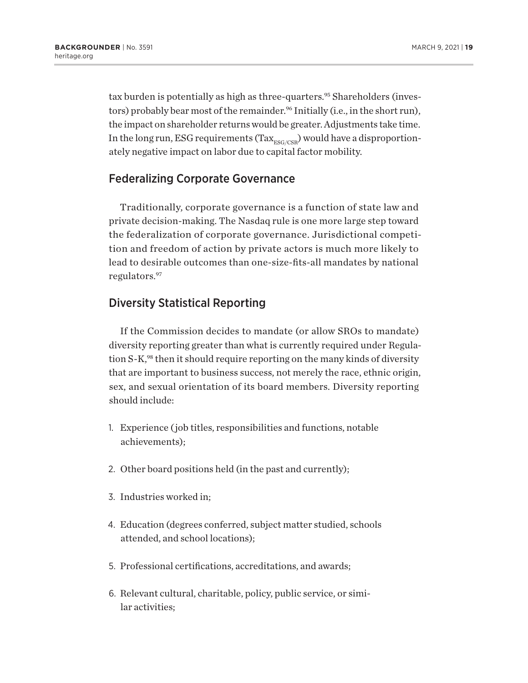tax burden is potentially as high as three-quarters.<sup>95</sup> Shareholders (investors) probably bear most of the remainder.<sup>96</sup> Initially (i.e., in the short run), the impact on shareholder returns would be greater. Adjustments take time. In the long run, ESG requirements (Tax  $_{\rm ESG/CSR}$ ) would have a disproportionately negative impact on labor due to capital factor mobility.

## Federalizing Corporate Governance

Traditionally, corporate governance is a function of state law and private decision-making. The Nasdaq rule is one more large step toward the federalization of corporate governance. Jurisdictional competition and freedom of action by private actors is much more likely to lead to desirable outcomes than one-size-fits-all mandates by national regulators.97

## Diversity Statistical Reporting

If the Commission decides to mandate (or allow SROs to mandate) diversity reporting greater than what is currently required under Regulation S-K,<sup>98</sup> then it should require reporting on the many kinds of diversity that are important to business success, not merely the race, ethnic origin, sex, and sexual orientation of its board members. Diversity reporting should include:

- 1. Experience ( job titles, responsibilities and functions, notable achievements);
- 2. Other board positions held (in the past and currently);
- 3. Industries worked in;
- 4. Education (degrees conferred, subject matter studied, schools attended, and school locations);
- 5. Professional certifications, accreditations, and awards;
- 6. Relevant cultural, charitable, policy, public service, or similar activities;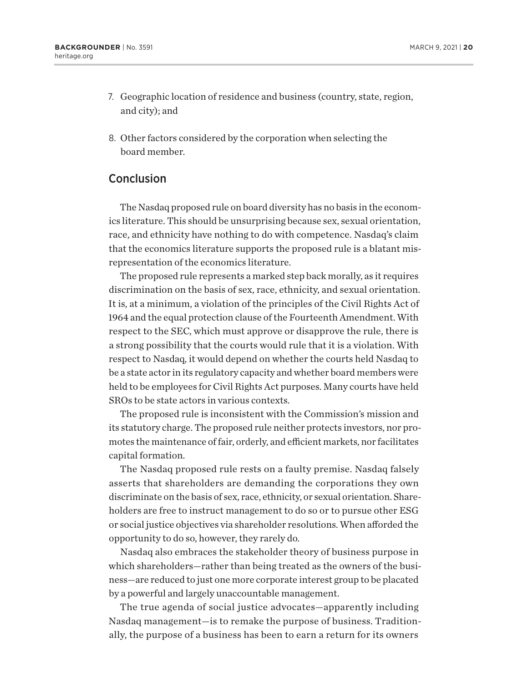- 7. Geographic location of residence and business (country, state, region, and city); and
- 8. Other factors considered by the corporation when selecting the board member.

## Conclusion

The Nasdaq proposed rule on board diversity has no basis in the economics literature. This should be unsurprising because sex, sexual orientation, race, and ethnicity have nothing to do with competence. Nasdaq's claim that the economics literature supports the proposed rule is a blatant misrepresentation of the economics literature.

The proposed rule represents a marked step back morally, as it requires discrimination on the basis of sex, race, ethnicity, and sexual orientation. It is, at a minimum, a violation of the principles of the Civil Rights Act of 1964 and the equal protection clause of the Fourteenth Amendment. With respect to the SEC, which must approve or disapprove the rule, there is a strong possibility that the courts would rule that it is a violation. With respect to Nasdaq, it would depend on whether the courts held Nasdaq to be a state actor in its regulatory capacity and whether board members were held to be employees for Civil Rights Act purposes. Many courts have held SROs to be state actors in various contexts.

The proposed rule is inconsistent with the Commission's mission and its statutory charge. The proposed rule neither protects investors, nor promotes the maintenance of fair, orderly, and efficient markets, nor facilitates capital formation.

The Nasdaq proposed rule rests on a faulty premise. Nasdaq falsely asserts that shareholders are demanding the corporations they own discriminate on the basis of sex, race, ethnicity, or sexual orientation. Shareholders are free to instruct management to do so or to pursue other ESG or social justice objectives via shareholder resolutions. When afforded the opportunity to do so, however, they rarely do.

Nasdaq also embraces the stakeholder theory of business purpose in which shareholders—rather than being treated as the owners of the business—are reduced to just one more corporate interest group to be placated by a powerful and largely unaccountable management.

The true agenda of social justice advocates—apparently including Nasdaq management—is to remake the purpose of business. Traditionally, the purpose of a business has been to earn a return for its owners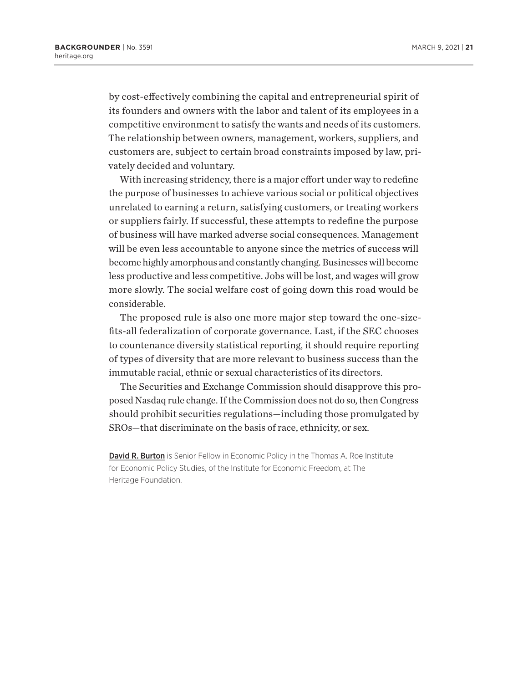by cost-effectively combining the capital and entrepreneurial spirit of its founders and owners with the labor and talent of its employees in a competitive environment to satisfy the wants and needs of its customers. The relationship between owners, management, workers, suppliers, and customers are, subject to certain broad constraints imposed by law, privately decided and voluntary.

With increasing stridency, there is a major effort under way to redefine the purpose of businesses to achieve various social or political objectives unrelated to earning a return, satisfying customers, or treating workers or suppliers fairly. If successful, these attempts to redefine the purpose of business will have marked adverse social consequences. Management will be even less accountable to anyone since the metrics of success will become highly amorphous and constantly changing. Businesses will become less productive and less competitive. Jobs will be lost, and wages will grow more slowly. The social welfare cost of going down this road would be considerable.

The proposed rule is also one more major step toward the one-sizefits-all federalization of corporate governance. Last, if the SEC chooses to countenance diversity statistical reporting, it should require reporting of types of diversity that are more relevant to business success than the immutable racial, ethnic or sexual characteristics of its directors.

The Securities and Exchange Commission should disapprove this proposed Nasdaq rule change. If the Commission does not do so, then Congress should prohibit securities regulations—including those promulgated by SROs—that discriminate on the basis of race, ethnicity, or sex.

David R. Burton is Senior Fellow in Economic Policy in the Thomas A. Roe Institute for Economic Policy Studies, of the Institute for Economic Freedom, at The Heritage Foundation.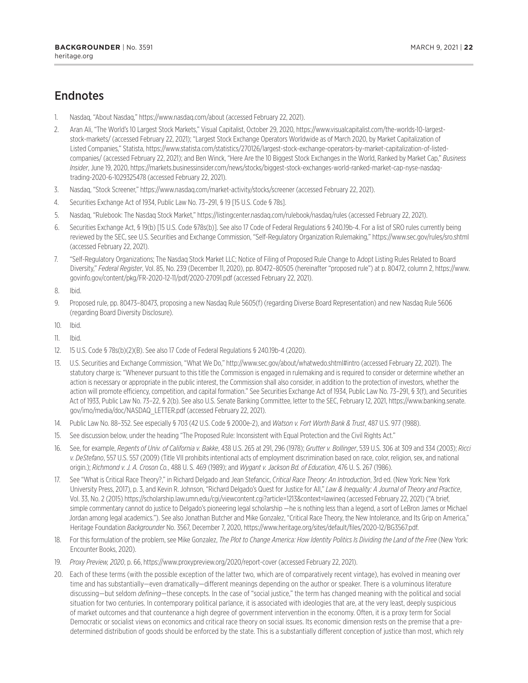# **Endnotes**

- 1. Nasdaq, "About Nasdaq," https://www.nasdaq.com/about (accessed February 22, 2021).
- 2. Aran Ali, "The World's 10 Largest Stock Markets," Visual Capitalist, October 29, 2020, https://www.visualcapitalist.com/the-worlds-10-largeststock-markets/ (accessed February 22, 2021); "Largest Stock Exchange Operators Worldwide as of March 2020, by Market Capitalization of Listed Companies," Statista, https://www.statista.com/statistics/270126/largest-stock-exchange-operators-by-market-capitalization-of-listedcompanies/ (accessed February 22, 2021); and Ben Winck, "Here Are the 10 Biggest Stock Exchanges in the World, Ranked by Market Cap," *Business Insider*, June 19, 2020, https://markets.businessinsider.com/news/stocks/biggest-stock-exchanges-world-ranked-market-cap-nyse-nasdaqtrading-2020-6-1029325478 (accessed February 22, 2021).
- 3. Nasdaq, "Stock Screener," https://www.nasdaq.com/market-activity/stocks/screener (accessed February 22, 2021).
- 4. Securities Exchange Act of 1934, Public Law No. 73–291, § 19 [15 U.S. Code § 78s].
- 5. Nasdaq, "Rulebook: The Nasdaq Stock Market," https://listingcenter.nasdaq.com/rulebook/nasdaq/rules (accessed February 22, 2021).
- 6. Securities Exchange Act, § 19(b) [15 U.S. Code §78s(b)]. See also 17 Code of Federal Regulations § 240.19b-4. For a list of SRO rules currently being reviewed by the SEC, see U.S. Securities and Exchange Commission, "Self-Regulatory Organization Rulemaking," https://www.sec.gov/rules/sro.shtml (accessed February 22, 2021).
- 7. "Self-Regulatory Organizations; The Nasdaq Stock Market LLC; Notice of Filing of Proposed Rule Change to Adopt Listing Rules Related to Board Diversity," *Federal Register*, Vol. 85, No. 239 (December 11, 2020), pp. 80472–80505 (hereinafter "proposed rule") at p. 80472, column 2, https://www. govinfo.gov/content/pkg/FR-2020-12-11/pdf/2020-27091.pdf (accessed February 22, 2021).
- 8. Ibid.
- 9. Proposed rule, pp. 80473–80473, proposing a new Nasdaq Rule 5605(f) (regarding Diverse Board Representation) and new Nasdaq Rule 5606 (regarding Board Diversity Disclosure).
- 10. Ibid.
- 11. Ibid.
- 12. 15 U.S. Code § 78s(b)(2)(B). See also 17 Code of Federal Regulations § 240.19b-4 (2020).
- 13. U.S. Securities and Exchange Commission, "What We Do," http://www.sec.gov/about/whatwedo.shtml#intro (accessed February 22, 2021). The statutory charge is: "Whenever pursuant to this title the Commission is engaged in rulemaking and is required to consider or determine whether an action is necessary or appropriate in the public interest, the Commission shall also consider, in addition to the protection of investors, whether the action will promote efficiency, competition, and capital formation." See Securities Exchange Act of 1934, Public Law No. 73–291, § 3(f), and Securities Act of 1933, Public Law No. 73–22, § 2(b). See also U.S. Senate Banking Committee, letter to the SEC, February 12, 2021, https://www.banking.senate. gov/imo/media/doc/NASDAQ\_LETTER.pdf (accessed February 22, 2021).
- 14. Public Law No. 88–352. See especially § 703 (42 U.S. Code § 2000e-2), and *Watson v. Fort Worth Bank & Trust*, 487 U.S. 977 (1988).
- 15. See discussion below, under the heading "The Proposed Rule: Inconsistent with Equal Protection and the Civil Rights Act."
- 16. See, for example, *Regents of Univ. of California v. Bakke*, 438 U.S. 265 at 291, 296 (1978); *Grutter v. Bollinger*, 539 U.S. 306 at 309 and 334 (2003); *Ricci v. DeStefano*, 557 U.S. 557 (2009) (Title VII prohibits intentional acts of employment discrimination based on race, color, religion, sex, and national origin.); *Richmond v. J. A. Croson Co.*, 488 U. S. 469 (1989); and *Wygant v. Jackson Bd. of Education*, 476 U. S. 267 (1986).
- 17. See "What is Critical Race Theory?," in Richard Delgado and Jean Stefancic, *Critical Race Theory: An Introduction*, 3rd ed. (New York: New York University Press, 2017), p. 3, and Kevin R. Johnson, "Richard Delgado's Quest for Justice for All," *Law & Inequality: A Journal of Theory and Practice*, Vol. 33, No. 2 (2015) https://scholarship.law.umn.edu/cgi/viewcontent.cgi?article=1213&context=lawineq (accessed February 22, 2021) ("A brief, simple commentary cannot do justice to Delgado's pioneering legal scholarship —he is nothing less than a legend, a sort of LeBron James or Michael Jordan among legal academics."). See also Jonathan Butcher and Mike Gonzalez, "Critical Race Theory, the New Intolerance, and Its Grip on America," Heritage Foundation *Backgrounder* No. 3567, December 7, 2020, https://www.heritage.org/sites/default/files/2020-12/BG3567.pdf.
- 18. For this formulation of the problem, see Mike Gonzalez, *The Plot to Change America: How Identity Politics Is Dividing the Land of the Free* (New York: Encounter Books, 2020).
- 19. *Proxy Preview, 2020*, p. 66, https://www.proxypreview.org/2020/report-cover (accessed February 22, 2021).
- 20. Each of these terms (with the possible exception of the latter two, which are of comparatively recent vintage), has evolved in meaning over time and has substantially—even dramatically—different meanings depending on the author or speaker. There is a voluminous literature discussing—but seldom *defining*—these concepts. In the case of "social justice," the term has changed meaning with the political and social situation for two centuries. In contemporary political parlance, it is associated with ideologies that are, at the very least, deeply suspicious of market outcomes and that countenance a high degree of government intervention in the economy. Often, it is a proxy term for Social Democratic or socialist views on economics and critical race theory on social issues. Its economic dimension rests on the premise that a predetermined distribution of goods should be enforced by the state. This is a substantially different conception of justice than most, which rely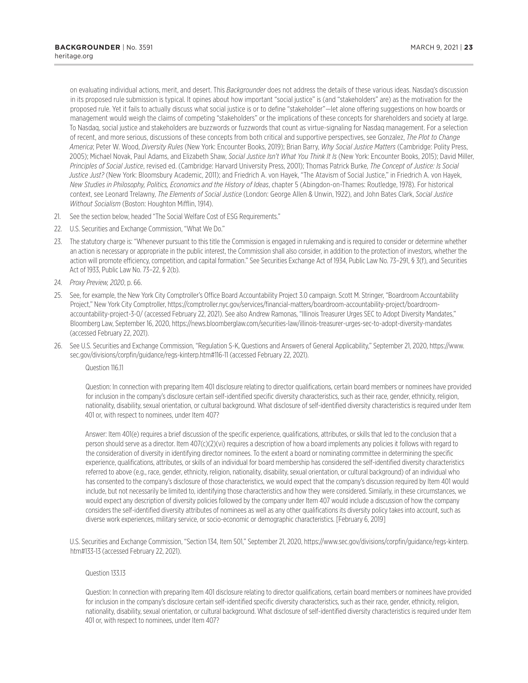on evaluating individual actions, merit, and desert. This *Backgrounder* does not address the details of these various ideas. Nasdaq's discussion in its proposed rule submission is typical. It opines about how important "social justice" is (and "stakeholders" are) as the motivation for the proposed rule. Yet it fails to actually discuss what social justice is or to define "stakeholder"—let alone offering suggestions on how boards or management would weigh the claims of competing "stakeholders" or the implications of these concepts for shareholders and society at large. To Nasdaq, social justice and stakeholders are buzzwords or fuzzwords that count as virtue-signaling for Nasdaq management. For a selection of recent, and more serious, discussions of these concepts from both critical and supportive perspectives, see Gonzalez, *The Plot to Change America*; Peter W. Wood, *Diversity Rules* (New York: Encounter Books, 2019); Brian Barry, *Why Social Justice Matters* (Cambridge: Polity Press, 2005); Michael Novak, Paul Adams, and Elizabeth Shaw, *Social Justice Isn't What You Think It Is* (New York: Encounter Books, 2015); David Miller, *Principles of Social Justice*, revised ed. (Cambridge: Harvard University Press, 2001); Thomas Patrick Burke, *The Concept of Justice: Is Social Justice Just?* (New York: Bloomsbury Academic, 2011); and Friedrich A. von Hayek, "The Atavism of Social Justice," in Friedrich A. von Hayek, *New Studies in Philosophy, Politics, Economics and the History of Ideas*, chapter 5 (Abingdon-on-Thames: Routledge, 1978). For historical context, see Leonard Trelawny, *The Elements of Social Justice* (London: George Allen & Unwin, 1922), and John Bates Clark, *Social Justice Without Socialism* (Boston: Houghton Mifflin, 1914).

- 21. See the section below, headed "The Social Welfare Cost of ESG Requirements."
- 22. U.S. Securities and Exchange Commission, "What We Do."
- 23. The statutory charge is: "Whenever pursuant to this title the Commission is engaged in rulemaking and is required to consider or determine whether an action is necessary or appropriate in the public interest, the Commission shall also consider, in addition to the protection of investors, whether the action will promote efficiency, competition, and capital formation." See Securities Exchange Act of 1934, Public Law No. 73-291, § 3(f), and Securities Act of 1933, Public Law No. 73–22, § 2(b).
- 24. *Proxy Preview, 2020*, p. 66.
- 25. See, for example, the New York City Comptroller's Office Board Accountability Project 3.0 campaign. Scott M. Stringer, "Boardroom Accountability Project," New York City Comptroller, https://comptroller.nyc.gov/services/financial-matters/boardroom-accountability-project/boardroomaccountability-project-3-0/ (accessed February 22, 2021). See also Andrew Ramonas, "Illinois Treasurer Urges SEC to Adopt Diversity Mandates," Bloomberg Law, September 16, 2020, https://news.bloomberglaw.com/securities-law/illinois-treasurer-urges-sec-to-adopt-diversity-mandates (accessed February 22, 2021).
- 26. See U.S. Securities and Exchange Commission, "Regulation S-K, Questions and Answers of General Applicability," September 21, 2020, https://www. sec.gov/divisions/corpfin/guidance/regs-kinterp.htm#116-11 (accessed February 22, 2021).

Question 116.11

Question: In connection with preparing Item 401 disclosure relating to director qualifications, certain board members or nominees have provided for inclusion in the company's disclosure certain self-identified specific diversity characteristics, such as their race, gender, ethnicity, religion, nationality, disability, sexual orientation, or cultural background. What disclosure of self-identified diversity characteristics is required under Item 401 or, with respect to nominees, under Item 407?

Answer: Item 401(e) requires a brief discussion of the specific experience, qualifications, attributes, or skills that led to the conclusion that a person should serve as a director. Item 407(c)(2)(vi) requires a description of how a board implements any policies it follows with regard to the consideration of diversity in identifying director nominees. To the extent a board or nominating committee in determining the specific experience, qualifications, attributes, or skills of an individual for board membership has considered the self-identified diversity characteristics referred to above (e.g., race, gender, ethnicity, religion, nationality, disability, sexual orientation, or cultural background) of an individual who has consented to the company's disclosure of those characteristics, we would expect that the company's discussion required by Item 401 would include, but not necessarily be limited to, identifying those characteristics and how they were considered. Similarly, in these circumstances, we would expect any description of diversity policies followed by the company under Item 407 would include a discussion of how the company considers the self-identified diversity attributes of nominees as well as any other qualifications its diversity policy takes into account, such as diverse work experiences, military service, or socio-economic or demographic characteristics. [February 6, 2019]

U.S. Securities and Exchange Commission, "Section 134, Item 501," September 21, 2020, https://www.sec.gov/divisions/corpfin/guidance/regs-kinterp. htm#133-13 (accessed February 22, 2021).

#### Question 133.13

Question: In connection with preparing Item 401 disclosure relating to director qualifications, certain board members or nominees have provided for inclusion in the company's disclosure certain self-identified specific diversity characteristics, such as their race, gender, ethnicity, religion, nationality, disability, sexual orientation, or cultural background. What disclosure of self-identified diversity characteristics is required under Item 401 or, with respect to nominees, under Item 407?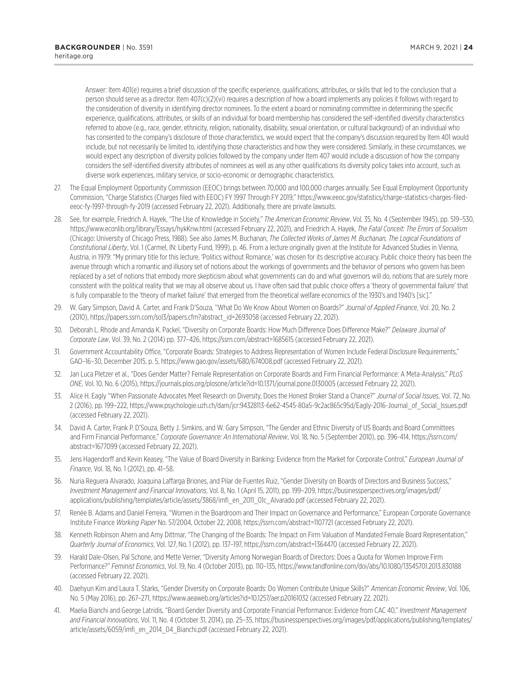Answer: Item 401(e) requires a brief discussion of the specific experience, qualifications, attributes, or skills that led to the conclusion that a person should serve as a director. Item 407(c)(2)(vi) requires a description of how a board implements any policies it follows with regard to the consideration of diversity in identifying director nominees. To the extent a board or nominating committee in determining the specific experience, qualifications, attributes, or skills of an individual for board membership has considered the self-identified diversity characteristics referred to above (e.g., race, gender, ethnicity, religion, nationality, disability, sexual orientation, or cultural background) of an individual who has consented to the company's disclosure of those characteristics, we would expect that the company's discussion required by Item 401 would include, but not necessarily be limited to, identifying those characteristics and how they were considered. Similarly, in these circumstances, we would expect any description of diversity policies followed by the company under Item 407 would include a discussion of how the company considers the self-identified diversity attributes of nominees as well as any other qualifications its diversity policy takes into account, such as diverse work experiences, military service, or socio-economic or demographic characteristics.

- 27. The Equal Employment Opportunity Commission (EEOC) brings between 70,000 and 100,000 charges annually. See Equal Employment Opportunity Commission, "Charge Statistics (Charges filed with EEOC) FY 1997 Through FY 2019," https://www.eeoc.gov/statistics/charge-statistics-charges-filedeeoc-fy-1997-through-fy-2019 (accessed February 22, 2021). Additionally, there are private lawsuits.
- 28. See, for example, Friedrich A. Hayek, "The Use of Knowledge in Society," *The American Economic Review*, Vol. 35, No. 4 (September 1945), pp. 519–530, https://www.econlib.org/library/Essays/hykKnw.html (accessed February 22, 2021), and Friedrich A. Hayek, *The Fatal Conceit: The Errors of Socialism* (Chicago: University of Chicago Press, 1988). See also James M. Buchanan, *The Collected Works of James M. Buchanan, The Logical Foundations of Constitutional Liberty*, Vol. 1 (Carmel, IN: Liberty Fund, 1999), p. 46. From a lecture originally given at the Institute for Advanced Studies in Vienna, Austria, in 1979: "My primary title for this lecture, 'Politics without Romance,' was chosen for its descriptive accuracy. Public choice theory has been the avenue through which a romantic and illusory set of notions about the workings of governments and the behavior of persons who govern has been replaced by a set of notions that embody more skepticism about what governments can do and what governors will do, notions that are surely more consistent with the political reality that we may all observe about us. I have often said that public choice offers a 'theory of governmental failure' that is fully comparable to the 'theory of market failure' that emerged from the theoretical welfare economics of the 1930's and 1940's [sic]."
- 29. W. Gary Simpson, David A. Carter, and Frank D'Souza, "What Do We Know About Women on Boards?" *Journal of Applied Finance*, Vol. 20, No. 2 (2010), https://papers.ssrn.com/sol3/papers.cfm?abstract\_id=2693058 (accessed February 22, 2021).
- 30. Deborah L. Rhode and Amanda K. Packel, "Diversity on Corporate Boards: How Much Difference Does Difference Make?" *Delaware Journal of Corporate Law*, Vol. 39, No. 2 (2014) pp. 377–426, https://ssrn.com/abstract=1685615 (accessed February 22, 2021).
- 31. Government Accountability Office, "Corporate Boards: Strategies to Address Representation of Women Include Federal Disclosure Requirements," GAO–16–30, December 2015, p. 5, https://www.gao.gov/assets/680/674008.pdf (accessed February 22, 2021).
- 32. Jan Luca Pletzer et al., "Does Gender Matter? Female Representation on Corporate Boards and Firm Financial Performance: A Meta-Analysis," *PLoS ONE*, Vol. 10, No. 6 (2015), https://journals.plos.org/plosone/article?id=10.1371/journal.pone.0130005 (accessed February 22, 2021).
- 33. Alice H. Eagly "When Passionate Advocates Meet Research on Diversity, Does the Honest Broker Stand a Chance?" *Journal of Social Issues*, Vol. 72, No. 2 (2016), pp. 199–222, https://www.psychologie.uzh.ch/dam/jcr:94328113-6e62-4545-80a5-9c2ac865c95d/Eagly-2016-Journal\_of\_Social\_Issues.pdf (accessed February 22, 2021).
- 34. David A. Carter, Frank P. D'Souza, Betty J. Simkins, and W. Gary Simpson, "The Gender and Ethnic Diversity of US Boards and Board Committees and Firm Financial Performance," *Corporate Governance: An International Review*, Vol. 18, No. 5 (September 2010), pp. 396-414, https://ssrn.com/ abstract=1677099 (accessed February 22, 2021).
- 35. Jens Hagendorff and Kevin Keasey, "The Value of Board Diversity in Banking: Evidence from the Market for Corporate Control," *European Journal of Finance*, Vol. 18, No. 1 (2012), pp. 41–58.
- 36. Nuria Reguera Alvarado, Joaquina Laffarga Briones, and Pilar de Fuentes Ruiz, "Gender Diversity on Boards of Directors and Business Success," *Investment Management and Financial Innovations*, Vol. 8, No. 1 (April 15, 2011), pp. 199–209, https://businessperspectives.org/images/pdf/ applications/publishing/templates/article/assets/3868/imfi\_en\_2011\_01c\_Alvarado.pdf (accessed February 22, 2021).
- 37. Renée B. Adams and Daniel Ferreira, "Women in the Boardroom and Their Impact on Governance and Performance," European Corporate Governance Institute Finance *Working Paper* No. 57/2004, October 22, 2008, https://ssrn.com/abstract=1107721 (accessed February 22, 2021).
- 38. Kenneth Robinson Ahern and Amy Dittmar, "The Changing of the Boards: The Impact on Firm Valuation of Mandated Female Board Representation," *Quarterly Journal of Economics*, Vol. 127, No. 1 (2012), pp. 137–197, https://ssrn.com/abstract=1364470 (accessed February 22, 2021).
- 39. Harald Dale-Olsen, Pal Schone, and Mette Verner, "Diversity Among Norwegian Boards of Directors: Does a Quota for Women Improve Firm Performance?" *Feminist Economics*, Vol. 19, No. 4 (October 2013), pp. 110–135, https://www.tandfonline.com/doi/abs/10.1080/13545701.2013.830188 (accessed February 22, 2021).
- 40. Daehyun Kim and Laura T. Starks, "Gender Diversity on Corporate Boards: Do Women Contribute Unique Skills?" *American Economic Review*, Vol. 106, No. 5 (May 2016), pp. 267–271, https://www.aeaweb.org/articles?id=10.1257/aer.p20161032 (accessed February 22, 2021).
- 41. Maelia Bianchi and George Latridis, "Board Gender Diversity and Corporate Financial Performance: Evidence from CAC 40," *Investment Management and Financial Innovations*, Vol. 11, No. 4 (October 31, 2014), pp. 25–35, https://businessperspectives.org/images/pdf/applications/publishing/templates/ article/assets/6059/imfi\_en\_2014\_04\_Bianchi.pdf (accessed February 22, 2021).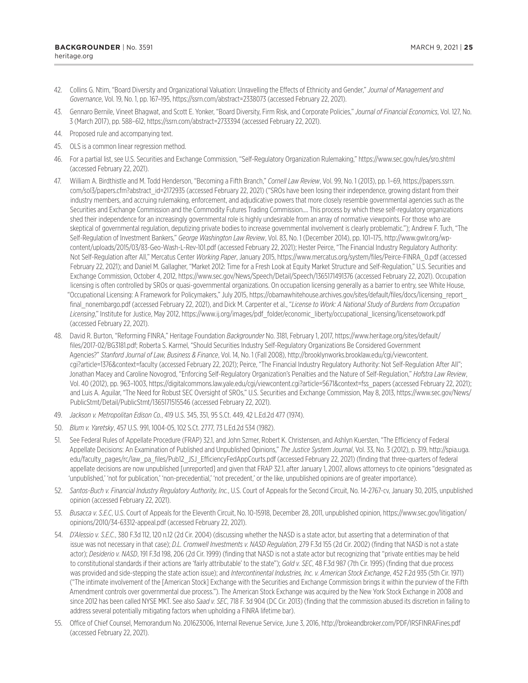- 42. Collins G. Ntim, "Board Diversity and Organizational Valuation: Unravelling the Effects of Ethnicity and Gender," *Journal of Management and Governance*, Vol. 19, No. 1, pp. 167–195, https://ssrn.com/abstract=2338073 (accessed February 22, 2021).
- 43. Gennaro Bernile, Vineet Bhagwat, and Scott E. Yonker, "Board Diversity, Firm Risk, and Corporate Policies," *Journal of Financial Economics*, Vol. 127, No. 3 (March 2017), pp. 588–612, https://ssrn.com/abstract=2733394 (accessed February 22, 2021).
- 44. Proposed rule and accompanying text.
- 45. OLS is a common linear regression method.
- 46. For a partial list, see U.S. Securities and Exchange Commission, "Self-Regulatory Organization Rulemaking," https://www.sec.gov/rules/sro.shtml (accessed February 22, 2021).
- 47. William A. Birdthistle and M. Todd Henderson, "Becoming a Fifth Branch," *Cornell Law Review*, Vol. 99, No. 1 (2013), pp. 1–69, https://papers.ssrn. com/sol3/papers.cfm?abstract\_id=2172935 (accessed February 22, 2021) ("SROs have been losing their independence, growing distant from their industry members, and accruing rulemaking, enforcement, and adjudicative powers that more closely resemble governmental agencies such as the Securities and Exchange Commission and the Commodity Futures Trading Commission.… This process by which these self-regulatory organizations shed their independence for an increasingly governmental role is highly undesirable from an array of normative viewpoints. For those who are skeptical of governmental regulation, deputizing private bodies to increase governmental involvement is clearly problematic."); Andrew F. Tuch, "The Self-Regulation of Investment Bankers," *George Washington Law Review*, Vol. 83, No. 1 (December 2014), pp. 101–175, http://www.gwlr.org/wpcontent/uploads/2015/03/83-Geo-Wash-L-Rev-101.pdf (accessed February 22, 2021); Hester Peirce, "The Financial Industry Regulatory Authority: Not Self-Regulation after All," Mercatus Center *Working Paper*, January 2015, https://www.mercatus.org/system/files/Peirce-FINRA\_0.pdf (accessed February 22, 2021); and Daniel M. Gallagher, "Market 2012: Time for a Fresh Look at Equity Market Structure and Self-Regulation," U.S. Securities and Exchange Commission, October 4, 2012, https://www.sec.gov/News/Speech/Detail/Speech/1365171491376 (accessed February 22, 2021). Occupation licensing is often controlled by SROs or quasi-governmental organizations. On occupation licensing generally as a barrier to entry, see White House, "Occupational Licensing: A Framework for Policymakers," July 2015, https://obamawhitehouse.archives.gov/sites/default/files/docs/licensing\_report\_ final nonembargo.pdf (accessed February 22, 2021), and Dick M. Carpenter et al., "License to Work: A National Study of Burdens from Occupation *Licensing*," Institute for Justice, May 2012, https://www.ij.org/images/pdf\_folder/economic\_liberty/occupational\_licensing/licensetowork.pdf (accessed February 22, 2021).
- 48. David R. Burton, "Reforming FINRA," Heritage Foundation *Backgrounder* No. 3181, February 1, 2017, https://www.heritage.org/sites/default/ files/2017-02/BG3181.pdf; Roberta S. Karmel, "Should Securities Industry Self-Regulatory Organizations Be Considered Government Agencies?" *Stanford Journal of Law, Business & Finance*, Vol. 14, No. 1 (Fall 2008), http://brooklynworks.brooklaw.edu/cgi/viewcontent. cgi?article=1376&context=faculty (accessed February 22, 2021); Peirce, "The Financial Industry Regulatory Authority: Not Self-Regulation After All"; Jonathan Macey and Caroline Novogrod, "Enforcing Self-Regulatory Organization's Penalties and the Nature of Self-Regulation," *Hofstra Law Review*, Vol. 40 (2012), pp. 963–1003, https://digitalcommons.law.yale.edu/cgi/viewcontent.cgi?article=5671&context=fss\_papers (accessed February 22, 2021); and Luis A. Aguilar, "The Need for Robust SEC Oversight of SROs," U.S. Securities and Exchange Commission, May 8, 2013, https://www.sec.gov/News/ PublicStmt/Detail/PublicStmt/1365171515546 (accessed February 22, 2021).
- 49. *Jackson v. Metropolitan Edison Co.*, 419 U.S. 345, 351, 95 S.Ct. 449, 42 L.Ed.2d 477 (1974).
- 50. *Blum v. Yaretsky*, 457 U.S. 991, 1004-05, 102 S.Ct. 2777, 73 L.Ed.2d 534 (1982).
- 51. See Federal Rules of Appellate Procedure (FRAP) 32.1, and John Szmer, Robert K. Christensen, and Ashlyn Kuersten, "The Efficiency of Federal Appellate Decisions: An Examination of Published and Unpublished Opinions," *The Justice System Journal*, Vol. 33, No. 3 (2012), p. 319, http://spia.uga. edu/faculty\_pages/rc/law\_pa\_files/Pub12\_JSJ\_EfficiencyFedAppCourts.pdf (accessed February 22, 2021) (finding that three-quarters of federal appellate decisions are now unpublished [unreported] and given that FRAP 32.1, after January 1, 2007, allows attorneys to cite opinions "designated as 'unpublished,' 'not for publication,' 'non-precedential,' 'not precedent,' or the like, unpublished opinions are of greater importance).
- 52. *Santos-Buch v. Financial Industry Regulatory Authority, Inc.*, U.S. Court of Appeals for the Second Circuit, No. 14-2767-cv, January 30, 2015, unpublished opinion (accessed February 22, 2021).
- 53. *Busacca v. S.E.C*, U.S. Court of Appeals for the Eleventh Circuit, No. 10-15918, December 28, 2011, unpublished opinion, https://www.sec.gov/litigation/ opinions/2010/34-63312-appeal.pdf (accessed February 22, 2021).
- 54. *D'Alessio v. S.E.C.*, 380 F.3d 112, 120 n.12 (2d Cir. 2004) (discussing whether the NASD is a state actor, but asserting that a determination of that issue was not necessary in that case); *D.L. Cromwell Investments v. NASD Regulation*, 279 F.3d 155 (2d Cir. 2002) (finding that NASD is not a state actor); *Desiderio v. NASD*, 191 F.3d 198, 206 (2d Cir. 1999) (finding that NASD is not a state actor but recognizing that "private entities may be held to constitutional standards if their actions are 'fairly attributable' to the state"); *Gold v. SEC*, 48 F.3d 987 (7th Cir. 1995) (finding that due process was provided and side-stepping the state action issue); and *Intercontinental Industries, Inc. v. American Stock Exchange*, 452 F.2d 935 (5th Cir. 1971) ("The intimate involvement of the [American Stock] Exchange with the Securities and Exchange Commission brings it within the purview of the Fifth Amendment controls over governmental due process."). The American Stock Exchange was acquired by the New York Stock Exchange in 2008 and since 2012 has been called NYSE MKT. See also *Saad v. SEC*, 718 F. 3d 904 (DC Cir. 2013) (finding that the commission abused its discretion in failing to address several potentially mitigating factors when upholding a FINRA lifetime bar).
- 55. Office of Chief Counsel, Memorandum No. 201623006, Internal Revenue Service, June 3, 2016, http://brokeandbroker.com/PDF/IRSFINRAFines.pdf (accessed February 22, 2021).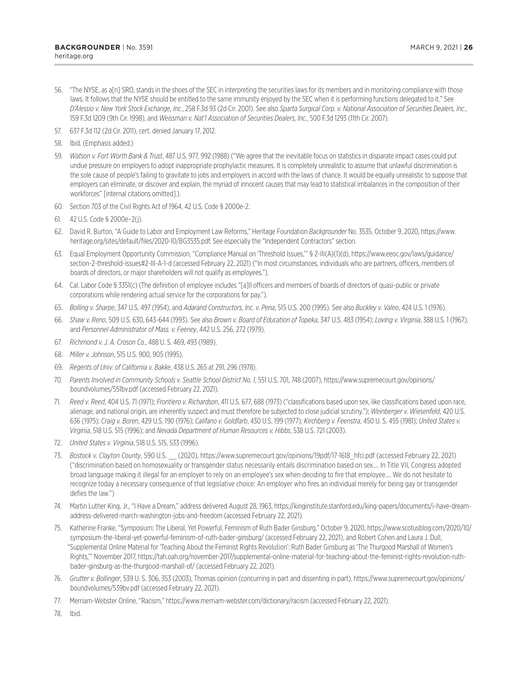- 57. 637 F.3d 112 (2d Cir. 2011), cert. denied January 17, 2012.
- 58. Ibid. (Emphasis added.)
- 59. *Watson v. Fort Worth Bank & Trust*, 487 U.S. 977, 992 (1988) ("We agree that the inevitable focus on statistics in disparate impact cases could put undue pressure on employers to adopt inappropriate prophylactic measures. It is completely unrealistic to assume that unlawful discrimination is the sole cause of people's failing to gravitate to jobs and employers in accord with the laws of chance. It would be equally unrealistic to suppose that employers can eliminate, or discover and explain, the myriad of innocent causes that may lead to statistical imbalances in the composition of their workforces" [internal citations omitted].).
- 60. Section 703 of the Civil Rights Act of 1964, 42 U.S. Code § 2000e-2.
- 61. 42 U.S. Code § 2000e–2(j).
- 62. David R. Burton, "A Guide to Labor and Employment Law Reforms," Heritage Foundation *Backgrounder* No. 3535, October 9, 2020, https://www. heritage.org/sites/default/files/2020-10/BG3535.pdf. See especially the "Independent Contractors" section.
- 63. Equal Employment Opportunity Commission, "Compliance Manual on 'Threshold Issues,'" § 2-III(A)(1)(d), https://www.eeoc.gov/laws/guidance/ section-2-threshold-issues#2-III-A-1-d (accessed February 22, 2021) ("In most circumstances, individuals who are partners, officers, members of boards of directors, or major shareholders will not qualify as employees.").
- 64. Cal. Labor Code § 3351(c) (The definition of employee includes "[a]ll officers and members of boards of directors of quasi-public or private corporations while rendering actual service for the corporations for pay.").
- 65. *Bolling v. Sharpe*, 347 U.S. 497 (1954), and *Adarand Constructors, Inc. v. Pena*, 515 U.S. 200 (1995). See also *Buckley v. Valeo*, 424 U.S. 1 (1976).
- 66. *Shaw v. Reno*, 509 U.S. 630, 643-644 (1993). See also *Brown v. Board of Education of Topeka*, 347 U.S. 483 (1954); *Loving v. Virginia*, 388 U.S. 1 (1967), and *Personnel Administrator of Mass. v. Feeney*, 442 U.S. 256, 272 (1979).
- 67. *Richmond v. J. A. Croson Co.*, 488 U. S. 469, 493 (1989).
- 68. *Miller v. Johnson*, 515 U.S. 900, 905 (1995).
- 69. *Regents of Univ. of California v. Bakke*, 438 U.S. 265 at 291, 296 (1978).
- 70. *Parents Involved in Community Schools v. Seattle School District No. 1*, 551 U.S. 701, 748 (2007), https://www.supremecourt.gov/opinions/ boundvolumes/551bv.pdf (accessed February 22, 2021).
- 71. *Reed v. Reed*, 404 U.S. 71 (1971); *Frontiero v. Richardson*, 411 U.S. 677, 688 (1973) ("classifications based upon sex, like classifications based upon race, alienage, and national origin, are inherently suspect and must therefore be subjected to close judicial scrutiny."); *Weinberger v. Wiesenfeld*, 420 U.S. 636 (1975); *Craig v. Boren*, 429 U.S. 190 (1976); *Califano v. Goldfarb*, 430 U.S. 199 (1977); *Kirchberg v. Feenstra*, 450 U. S. 455 (1981); *United States v. Virginia*, 518 U.S. 515 (1996); and *Nevada Department of Human Resources v. Hibbs*, 538 U.S. 721 (2003).
- 72. *United States v. Virginia*, 518 U.S. 515, 533 (1996).
- 73. *Bostock v. Clayton County*, 590 U.S. \_\_ (2020), https://www.supremecourt.gov/opinions/19pdf/17-1618\_hfci.pdf (accessed February 22, 2021) ("discrimination based on homosexuality or transgender status necessarily entails discrimination based on sex…. In Title VII, Congress adopted broad language making it illegal for an employer to rely on an employee's sex when deciding to fire that employee.… We do not hesitate to recognize today a necessary consequence of that legislative choice: An employer who fires an individual merely for being gay or transgender defies the law.")
- 74. Martin Luther King, Jr., "I Have a Dream," address delivered August 28, 1963, https://kinginstitute.stanford.edu/king-papers/documents/i-have-dreamaddress-delivered-march-washington-jobs-and-freedom (accessed February 22, 2021).
- 75. Katherine Franke, "Symposium: The Liberal, Yet Powerful, Feminism of Ruth Bader Ginsburg," October 9, 2020, https://www.scotusblog.com/2020/10/ symposium-the-liberal-yet-powerful-feminism-of-ruth-bader-ginsburg/ (accessed February 22, 2021), and Robert Cohen and Laura J. Dull, "Supplemental Online Material for 'Teaching About the Feminist Rights Revolution': Ruth Bader Ginsburg as 'The Thurgood Marshall of Women's Rights,'" November 2017, https://tah.oah.org/november-2017/supplemental-online-material-for-teaching-about-the-feminist-rights-revolution-ruthbader-ginsburg-as-the-thurgood-marshall-of/ (accessed February 22, 2021).
- 76. *Grutter v. Bollinger*, 539 U. S. 306, 353 (2003), Thomas opinion (concurring in part and dissenting in part), https://www.supremecourt.gov/opinions/ boundvolumes/539bv.pdf (accessed February 22, 2021).
- 77. Merriam-Webster Online, "Racism," https://www.merriam-webster.com/dictionary/racism (accessed February 22, 2021).

78. Ibid.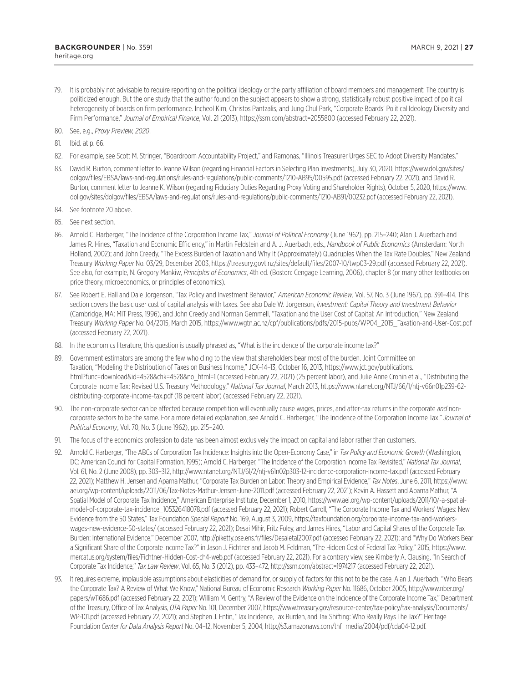80. See, e.g., *Proxy Preview, 2020*.

- 81. Ibid. at p. 66.
- 82. For example, see Scott M. Stringer, "Boardroom Accountability Project," and Ramonas, "Illinois Treasurer Urges SEC to Adopt Diversity Mandates."
- 83. David R. Burton, comment letter to Jeanne Wilson (regarding Financial Factors in Selecting Plan Investments), July 30, 2020, https://www.dol.gov/sites/ dolgov/files/EBSA/laws-and-regulations/rules-and-regulations/public-comments/1210-AB95/00595.pdf (accessed February 22, 2021), and David R. Burton, comment letter to Jeanne K. Wilson (regarding Fiduciary Duties Regarding Proxy Voting and Shareholder Rights), October 5, 2020, https://www. dol.gov/sites/dolgov/files/EBSA/laws-and-regulations/rules-and-regulations/public-comments/1210-AB91/00232.pdf (accessed February 22, 2021).
- 84. See footnote 20 above.
- 85. See next section.
- 86. Arnold C. Harberger, "The Incidence of the Corporation Income Tax," *Journal of Political Economy* (June 1962), pp. 215–240; Alan J. Auerbach and James R. Hines, "Taxation and Economic Efficiency," in Martin Feldstein and A. J. Auerbach, eds., *Handbook of Public Economics* (Amsterdam: North Holland, 2002); and John Creedy, "The Excess Burden of Taxation and Why It (Approximately) Quadruples When the Tax Rate Doubles," New Zealand Treasury *Working Paper* No. 03/29, December 2003, https://treasury.govt.nz/sites/default/files/2007-10/twp03-29.pdf (accessed February 22, 2021). See also, for example, N. Gregory Mankiw, *Principles of Economics*, 4th ed. (Boston: Cengage Learning, 2006), chapter 8 (or many other textbooks on price theory, microeconomics, or principles of economics).
- 87. See Robert E. Hall and Dale Jorgenson, "Tax Policy and Investment Behavior," *American Economic Review*, Vol. 57, No. 3 (June 1967), pp. 391–414. This section covers the basic user cost of capital analysis with taxes. See also Dale W. Jorgenson, *Investment: Capital Theory and Investment Behavior* (Cambridge, MA: MIT Press, 1996), and John Creedy and Norman Gemmell, "Taxation and the User Cost of Capital: An Introduction," New Zealand Treasury *Working Paper* No. 04/2015, March 2015, https://www.wgtn.ac.nz/cpf/publications/pdfs/2015-pubs/WP04\_2015\_Taxation-and-User-Cost.pdf (accessed February 22, 2021).
- 88. In the economics literature, this question is usually phrased as, "What is the incidence of the corporate income tax?"
- 89. Government estimators are among the few who cling to the view that shareholders bear most of the burden. Joint Committee on Taxation, "Modeling the Distribution of Taxes on Business Income," JCX–14–13, October 16, 2013, https://www.jct.gov/publications. html?func=download&id=4528&chk=4528&no\_html=1 (accessed February 22, 2021) (25 percent labor), and Julie Anne Cronin et al., "Distributing the Corporate Income Tax: Revised U.S. Treasury Methodology," *National Tax Journal*, March 2013, https://www.ntanet.org/NTJ/66/1/ntj-v66n01p239-62 distributing-corporate-income-tax.pdf (18 percent labor) (accessed February 22, 2021).
- 90. The non-corporate sector can be affected because competition will eventually cause wages, prices, and after-tax returns in the corporate *and* noncorporate sectors to be the same. For a more detailed explanation, see Arnold C. Harberger, "The Incidence of the Corporation Income Tax," *Journal of Political Economy*, Vol. 70, No. 3 (June 1962), pp. 215–240.
- 91. The focus of the economics profession to date has been almost exclusively the impact on capital and labor rather than customers.
- 92. Arnold C. Harberger, "The ABCs of Corporation Tax Incidence: Insights into the Open-Economy Case," in *Tax Policy and Economic Growth* (Washington, DC: American Council for Capital Formation, 1995); Arnold C. Harberger, "The Incidence of the Corporation Income Tax Revisited," *National Tax Journal*, Vol. 61, No. 2 (June 2008), pp. 303–312, http://www.ntanet.org/NTJ/61/2/ntj-v61n02p303-12-incidence-corporation-income-tax.pdf (accessed February 22, 2021); Matthew H. Jensen and Aparna Mathur, "Corporate Tax Burden on Labor: Theory and Empirical Evidence," *Tax Notes*, June 6, 2011, https://www. aei.org/wp-content/uploads/2011/06/Tax-Notes-Mathur-Jensen-June-2011.pdf (accessed February 22, 2021); Kevin A. Hassett and Aparna Mathur, "A Spatial Model of Corporate Tax Incidence," American Enterprise Institute, December 1, 2010, https://www.aei.org/wp-content/uploads/2011/10/-a-spatialmodel-of-corporate-tax-incidence\_105326418078.pdf (accessed February 22, 2021); Robert Carroll, "The Corporate Income Tax and Workers' Wages: New Evidence from the 50 States," Tax Foundation *Special Report* No. 169, August 3, 2009, https://taxfoundation.org/corporate-income-tax-and-workerswages-new-evidence-50-states/ (accessed February 22, 2021); Desai Mihir, Fritz Foley, and James Hines, "Labor and Capital Shares of the Corporate Tax Burden: International Evidence," December 2007, http://piketty.pse.ens.fr/files/Desaietal2007.pdf (accessed February 22, 2021); and "Why Do Workers Bear a Significant Share of the Corporate Income Tax?" in Jason J. Fichtner and Jacob M. Feldman, "The Hidden Cost of Federal Tax Policy," 2015, https://www. mercatus.org/system/files/Fichtner-Hidden-Cost-ch4-web.pdf (accessed February 22, 2021). For a contrary view, see Kimberly A. Clausing, "In Search of Corporate Tax Incidence," Tax Law Review, Vol. 65, No. 3 (2012), pp. 433-472, http://ssrn.com/abstract=1974217 (accessed February 22, 2021).
- 93. It requires extreme, implausible assumptions about elasticities of demand for, or supply of, factors for this not to be the case. Alan J. Auerbach, "Who Bears the Corporate Tax? A Review of What We Know," National Bureau of Economic Research *Working Paper* No. 11686, October 2005, http://www.nber.org/ papers/w11686.pdf (accessed February 22, 2021); William M. Gentry, "A Review of the Evidence on the Incidence of the Corporate Income Tax," Department of the Treasury, Office of Tax Analysis, *OTA Paper* No. 101, December 2007, https://www.treasury.gov/resource-center/tax-policy/tax-analysis/Documents/ WP-101.pdf (accessed February 22, 2021); and Stephen J. Entin, "Tax Incidence, Tax Burden, and Tax Shifting: Who Really Pays The Tax?" Heritage Foundation *Center for Data Analysis Report* No. 04–12, November 5, 2004, http://s3.amazonaws.com/thf\_media/2004/pdf/cda04-12.pdf.